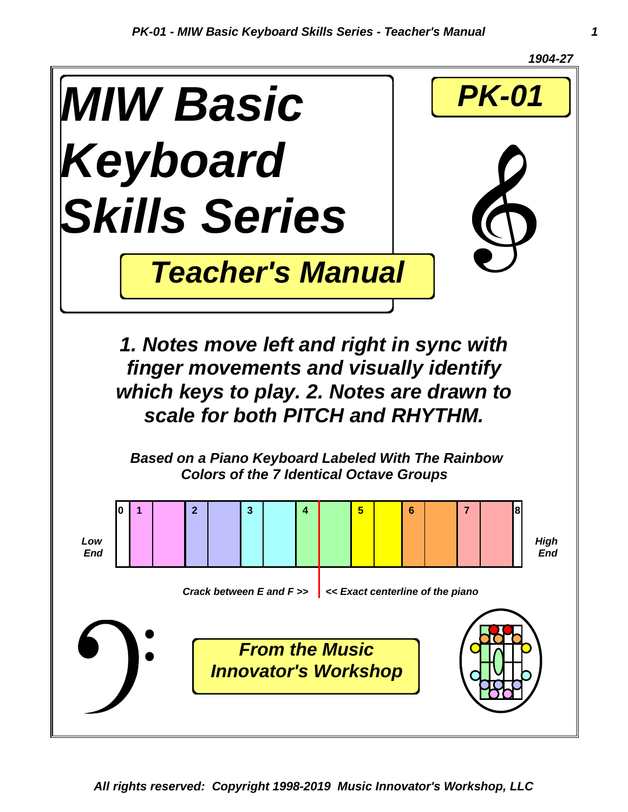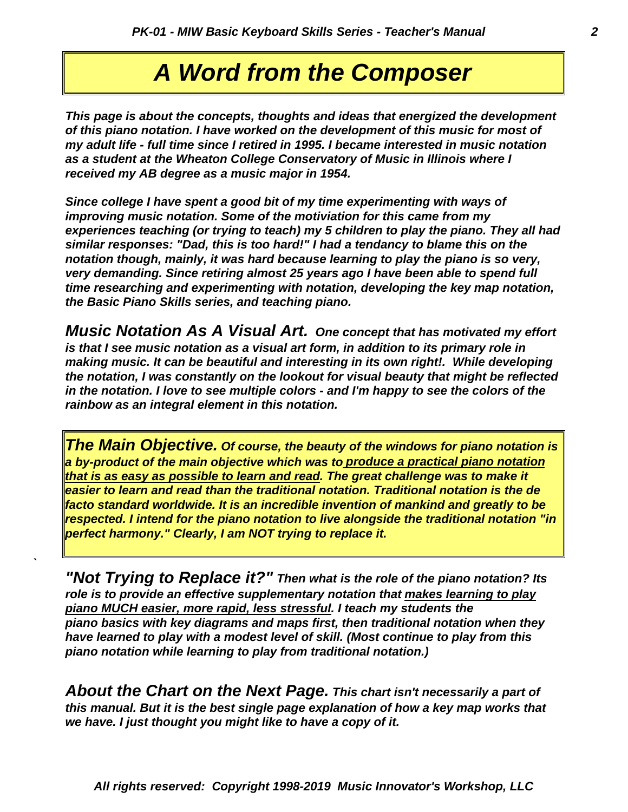# *A Word from the Composer*

*received my AB degree as a music major in 1954. as a student at the Wheaton College Conservatory of Music in Illinois where I my adult life - full time since I retired in 1995. I became interested in music notation of this piano notation. I have worked on the development of this music for most of This page is about the concepts, thoughts and ideas that energized the development*

*the Basic Piano Skills series, and teaching piano. time researching and experimenting with notation, developing the key map notation, very demanding. Since retiring almost 25 years ago I have been able to spend full notation though, mainly, it was hard because learning to play the piano is so very, similar responses: "Dad, this is too hard!" I had a tendancy to blame this on the experiences teaching (or trying to teach) my 5 children to play the piano. They all had improving music notation. Some of the motiviation for this came from my Since college I have spent a good bit of my time experimenting with ways of*

*rainbow as an integral element in this notation. in the notation. I love to see multiple colors - and I'm happy to see the colors of the the notation, I was constantly on the lookout for visual beauty that might be reflected making music. It can be beautiful and interesting in its own right!. While developing is that I see music notation as a visual art form, in addition to its primary role in Music Notation As A Visual Art. One concept that has motivated my effort*

*perfect harmony." Clearly, I am NOT trying to replace it. respected. I intend for the piano notation to live alongside the traditional notation "in facto standard worldwide. It is an incredible invention of mankind and greatly to be easier to learn and read than the traditional notation. Traditional notation is the de that is as easy as possible to learn and read. The great challenge was to make it a by-product of the main objective which was to produce a practical piano notation The Main Objective. Of course, the beauty of the windows for piano notation is*

*piano notation while learning to play from traditional notation.) have learned to play with a modest level of skill. (Most continue to play from this piano basics with key diagrams and maps first, then traditional notation when they piano MUCH easier, more rapid, less stressful. I teach my students the role is to provide an effective supplementary notation that makes learning to play "Not Trying to Replace it?" Then what is the role of the piano notation? Its*

*`*

*we have. I just thought you might like to have a copy of it. this manual. But it is the best single page explanation of how a key map works that About the Chart on the Next Page. This chart isn't necessarily a part of*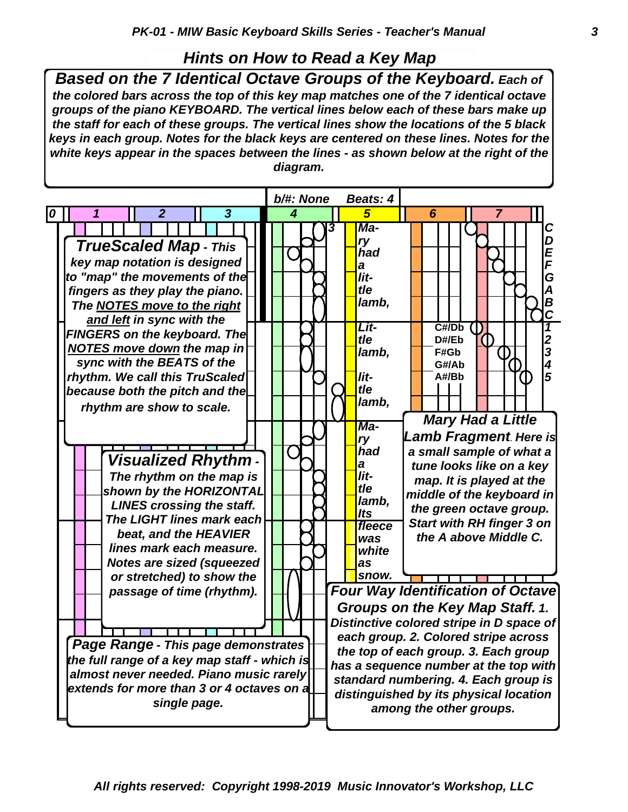#### *Hints on How to Read a Key Map*

*Based on the 7 Identical Octave Groups of the Keyboard. Each of the colored bars across the top of this key map matches one of the 7 identical octave groups of the piano KEYBOARD. The vertical lines below each of these bars make up the staff for each of these groups. The vertical lines show the locations of the 5 black keys in each group. Notes for the black keys are centered on these lines. Notes for the white keys appear in the spaces between the lines - as shown below at the right of the diagram.*

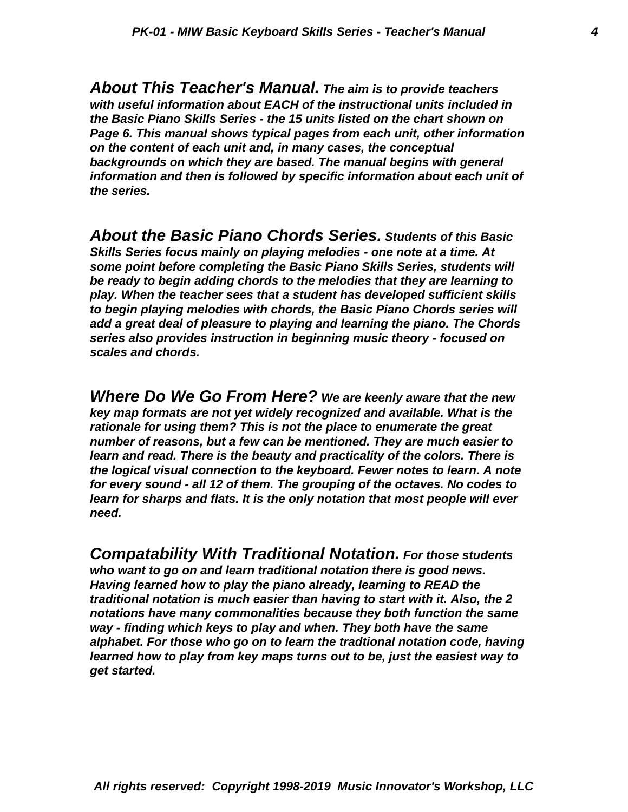*the series. information and then is followed by specific information about each unit of backgrounds on which they are based. The manual begins with general on the content of each unit and, in many cases, the conceptual Page 6. This manual shows typical pages from each unit, other information the Basic Piano Skills Series - the 15 units listed on the chart shown on with useful information about EACH of the instructional units included in About This Teacher's Manual. The aim is to provide teachers*

*scales and chords. series also provides instruction in beginning music theory - focused on add a great deal of pleasure to playing and learning the piano. The Chords to begin playing melodies with chords, the Basic Piano Chords series will play. When the teacher sees that a student has developed sufficient skills be ready to begin adding chords to the melodies that they are learning to some point before completing the Basic Piano Skills Series, students will Skills Series focus mainly on playing melodies - one note at a time. At About the Basic Piano Chords Series. Students of this Basic*

*need. learn for sharps and flats. It is the only notation that most people will ever for every sound - all 12 of them. The grouping of the octaves. No codes to the logical visual connection to the keyboard. Fewer notes to learn. A note learn and read. There is the beauty and practicality of the colors. There is number of reasons, but a few can be mentioned. They are much easier to rationale for using them? This is not the place to enumerate the great key map formats are not yet widely recognized and available. What is the Where Do We Go From Here? We are keenly aware that the new*

*get started. learned how to play from key maps turns out to be, just the easiest way to alphabet. For those who go on to learn the tradtional notation code, having way - finding which keys to play and when. They both have the same notations have many commonalities because they both function the same traditional notation is much easier than having to start with it. Also, the 2 Having learned how to play the piano already, learning to READ the who want to go on and learn traditional notation there is good news. Compatability With Traditional Notation. For those students*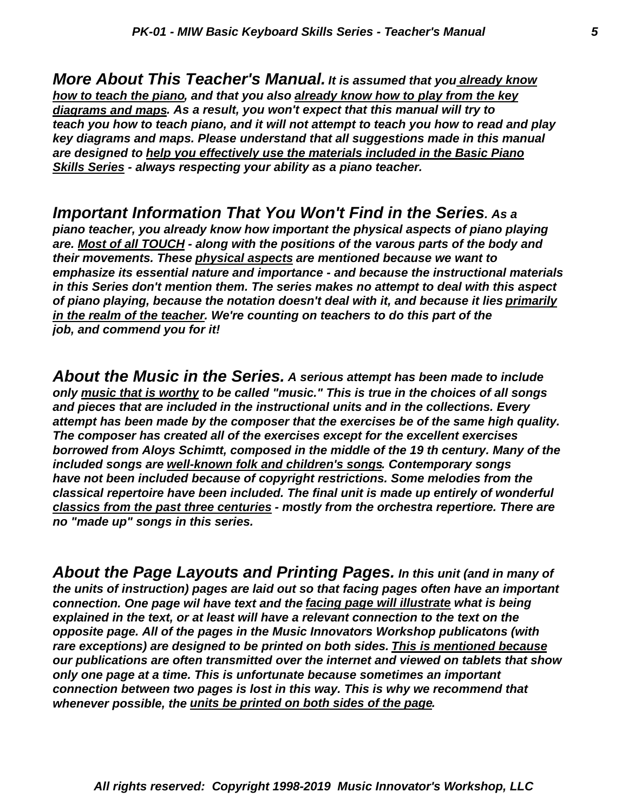*Skills Series - always respecting your ability as a piano teacher. are designed to help you effectively use the materials included in the Basic Piano key diagrams and maps. Please understand that all suggestions made in this manual teach you how to teach piano, and it will not attempt to teach you how to read and play diagrams and maps. As a result, you won't expect that this manual will try to how to teach the piano, and that you also already know how to play from the key More About This Teacher's Manual. It is assumed that you already know*

*job, and commend you for it! in the realm of the teacher. We're counting on teachers to do this part of the of piano playing, because the notation doesn't deal with it, and because it lies primarily in this Series don't mention them. The series makes no attempt to deal with this aspect emphasize its essential nature and importance - and because the instructional materials their movements. These physical aspects are mentioned because we want to are. Most of all TOUCH - along with the positions of the varous parts of the body and piano teacher, you already know how important the physical aspects of piano playing Important Information That You Won't Find in the Series. As a*

*no "made up" songs in this series. classics from the past three centuries - mostly from the orchestra repertiore. There are classical repertoire have been included. The final unit is made up entirely of wonderful have not been included because of copyright restrictions. Some melodies from the included songs are well-known folk and children's songs. Contemporary songs borrowed from Aloys Schimtt, composed in the middle of the 19 th century. Many of the The composer has created all of the exercises except for the excellent exercises attempt has been made by the composer that the exercises be of the same high quality. and pieces that are included in the instructional units and in the collections. Every only music that is worthy to be called "music." This is true in the choices of all songs About the Music in the Series. A serious attempt has been made to include*

*whenever possible, the units be printed on both sides of the page. connection between two pages is lost in this way. This is why we recommend that only one page at a time. This is unfortunate because sometimes an important our publications are often transmitted over the internet and viewed on tablets that show rare exceptions) are designed to be printed on both sides. This is mentioned because opposite page. All of the pages in the Music Innovators Workshop publicatons (with explained in the text, or at least will have a relevant connection to the text on the connection. One page wil have text and the facing page will illustrate what is being the units of instruction) pages are laid out so that facing pages often have an important About the Page Layouts and Printing Pages. In this unit (and in many of*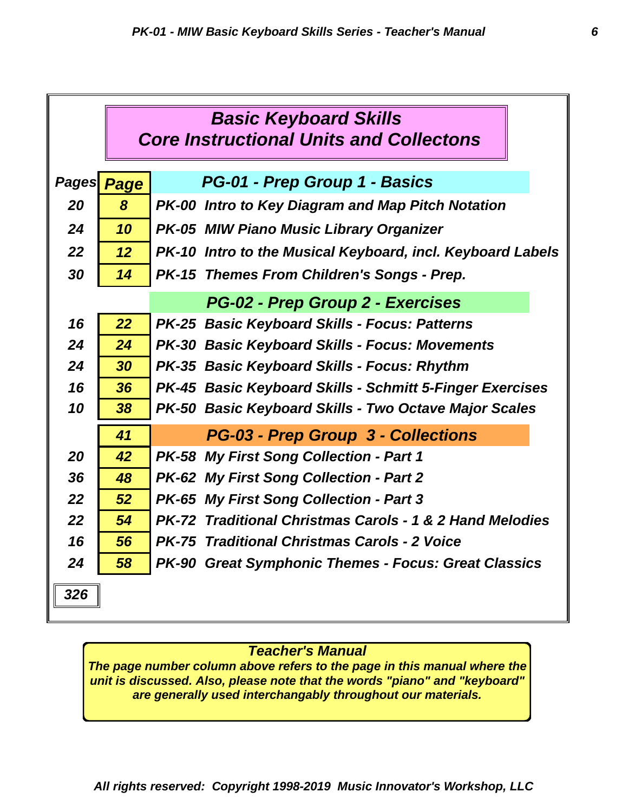|                                             | <b>Basic Keyboard Skills</b><br><b>Core Instructional Units and Collectons</b> |                                                                     |  |  |  |  |
|---------------------------------------------|--------------------------------------------------------------------------------|---------------------------------------------------------------------|--|--|--|--|
| PG-01 - Prep Group 1 - Basics<br>Pages Page |                                                                                |                                                                     |  |  |  |  |
| 20                                          | 8                                                                              | PK-00 Intro to Key Diagram and Map Pitch Notation                   |  |  |  |  |
| 24                                          | 10                                                                             | <b>PK-05 MIW Piano Music Library Organizer</b>                      |  |  |  |  |
|                                             |                                                                                |                                                                     |  |  |  |  |
| 22                                          | 12 <sup>°</sup>                                                                | PK-10 Intro to the Musical Keyboard, incl. Keyboard Labels          |  |  |  |  |
| 30                                          | 14                                                                             | PK-15 Themes From Children's Songs - Prep.                          |  |  |  |  |
|                                             | PG-02 - Prep Group 2 - Exercises                                               |                                                                     |  |  |  |  |
| 16                                          | 22                                                                             | PK-25 Basic Keyboard Skills - Focus: Patterns                       |  |  |  |  |
| 24                                          | 24                                                                             | <b>PK-30 Basic Keyboard Skills - Focus: Movements</b>               |  |  |  |  |
| 24                                          | 30                                                                             | PK-35 Basic Keyboard Skills - Focus: Rhythm                         |  |  |  |  |
| 16                                          | 36                                                                             | <b>PK-45 Basic Keyboard Skills - Schmitt 5-Finger Exercises</b>     |  |  |  |  |
| 10                                          | 38                                                                             | PK-50 Basic Keyboard Skills - Two Octave Major Scales               |  |  |  |  |
|                                             | 41                                                                             | <b>PG-03 - Prep Group 3 - Collections</b>                           |  |  |  |  |
| 20                                          | 42                                                                             | PK-58 My First Song Collection - Part 1                             |  |  |  |  |
| 36                                          | 48                                                                             | PK-62 My First Song Collection - Part 2                             |  |  |  |  |
| 22                                          | 52                                                                             | <b>PK-65 My First Song Collection - Part 3</b>                      |  |  |  |  |
| 22                                          | 54                                                                             | <b>PK-72 Traditional Christmas Carols - 1 &amp; 2 Hand Melodies</b> |  |  |  |  |
| 16                                          | 56                                                                             | <b>PK-75 Traditional Christmas Carols - 2 Voice</b>                 |  |  |  |  |
| 24                                          | 58                                                                             | <b>PK-90 Great Symphonic Themes - Focus: Great Classics</b>         |  |  |  |  |
| 326                                         |                                                                                |                                                                     |  |  |  |  |

#### *Teacher's Manual*

*The page number column above refers to the page in this manual where the unit is discussed. Also, please note that the words "piano" and "keyboard" are generally used interchangably throughout our materials.*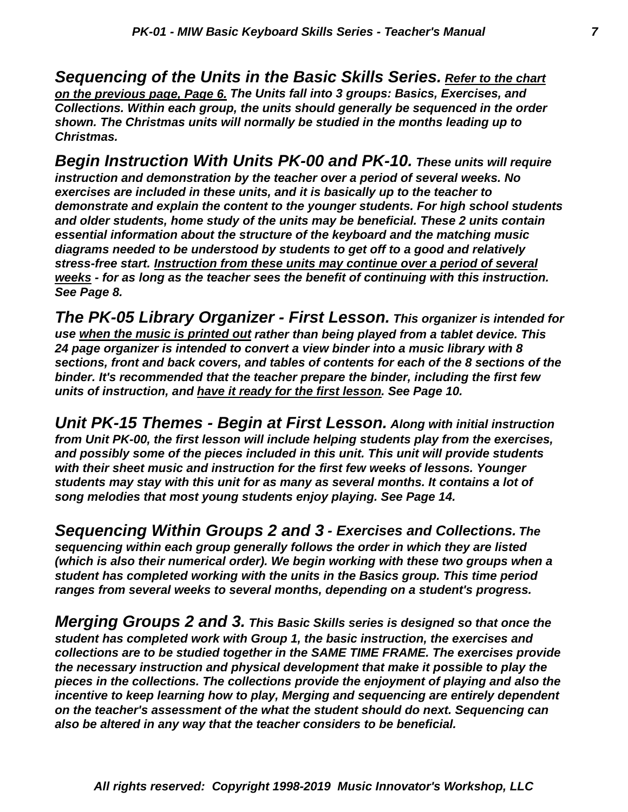*Christmas. shown. The Christmas units will normally be studied in the months leading up to Collections. Within each group, the units should generally be sequenced in the order on the previous page, Page 6. The Units fall into 3 groups: Basics, Exercises, and Sequencing of the Units in the Basic Skills Series. Refer to the chart*

*See Page 8. weeks - for as long as the teacher sees the benefit of continuing with this instruction. stress-free start. Instruction from these units may continue over a period of several diagrams needed to be understood by students to get off to a good and relatively essential information about the structure of the keyboard and the matching music and older students, home study of the units may be beneficial. These 2 units contain demonstrate and explain the content to the younger students. For high school students exercises are included in these units, and it is basically up to the teacher to instruction and demonstration by the teacher over a period of several weeks. No Begin Instruction With Units PK-00 and PK-10. These units will require*

*units of instruction, and have it ready for the first lesson. See Page 10. binder. It's recommended that the teacher prepare the binder, including the first few sections, front and back covers, and tables of contents for each of the 8 sections of the 24 page organizer is intended to convert a view binder into a music library with 8 use when the music is printed out rather than being played from a tablet device. This The PK-05 Library Organizer - First Lesson. This organizer is intended for*

*song melodies that most young students enjoy playing. See Page 14. students may stay with this unit for as many as several months. It contains a lot of with their sheet music and instruction for the first few weeks of lessons. Younger and possibly some of the pieces included in this unit. This unit will provide students from Unit PK-00, the first lesson will include helping students play from the exercises, Unit PK-15 Themes - Begin at First Lesson. Along with initial instruction*

*ranges from several weeks to several months, depending on a student's progress. student has completed working with the units in the Basics group. This time period (which is also their numerical order). We begin working with these two groups when a sequencing within each group generally follows the order in which they are listed Sequencing Within Groups 2 and 3 - Exercises and Collections. The*

*also be altered in any way that the teacher considers to be beneficial. on the teacher's assessment of the what the student should do next. Sequencing can incentive to keep learning how to play, Merging and sequencing are entirely dependent pieces in the collections. The collections provide the enjoyment of playing and also the the necessary instruction and physical development that make it possible to play the collections are to be studied together in the SAME TIME FRAME. The exercises provide student has completed work with Group 1, the basic instruction, the exercises and Merging Groups 2 and 3. This Basic Skills series is designed so that once the*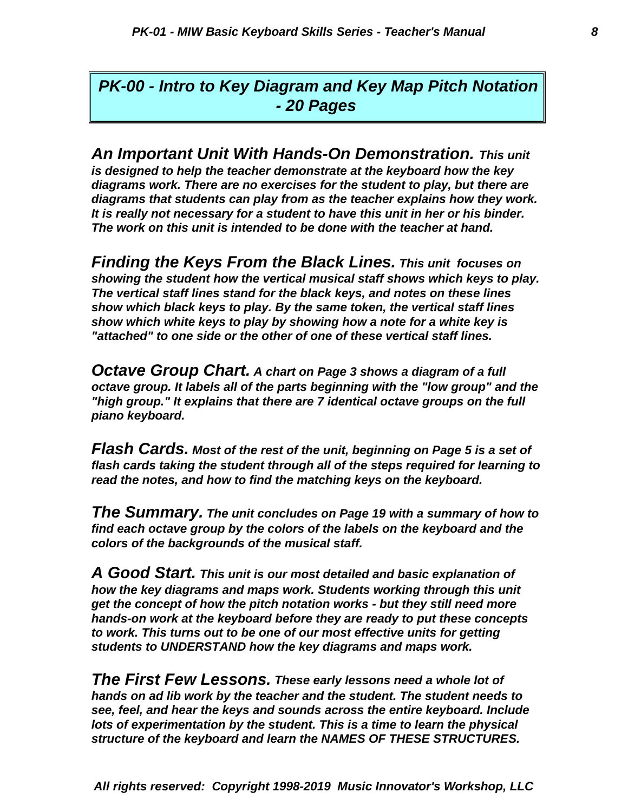*- 20 Pages PK-00 - Intro to Key Diagram and Key Map Pitch Notation*

*The work on this unit is intended to be done with the teacher at hand. It is really not necessary for a student to have this unit in her or his binder. diagrams that students can play from as the teacher explains how they work. diagrams work. There are no exercises for the student to play, but there are is designed to help the teacher demonstrate at the keyboard how the key An Important Unit With Hands-On Demonstration. This unit*

*"attached" to one side or the other of one of these vertical staff lines. show which white keys to play by showing how a note for a white key is show which black keys to play. By the same token, the vertical staff lines The vertical staff lines stand for the black keys, and notes on these lines showing the student how the vertical musical staff shows which keys to play. Finding the Keys From the Black Lines. This unit focuses on*

*piano keyboard. "high group." It explains that there are 7 identical octave groups on the full octave group. It labels all of the parts beginning with the "low group" and the Octave Group Chart. A chart on Page 3 shows a diagram of a full*

*read the notes, and how to find the matching keys on the keyboard. flash cards taking the student through all of the steps required for learning to Flash Cards. Most of the rest of the unit, beginning on Page 5 is a set of*

*colors of the backgrounds of the musical staff. find each octave group by the colors of the labels on the keyboard and the The Summary. The unit concludes on Page 19 with a summary of how to*

*students to UNDERSTAND how the key diagrams and maps work. to work. This turns out to be one of our most effective units for getting hands-on work at the keyboard before they are ready to put these concepts get the concept of how the pitch notation works - but they still need more how the key diagrams and maps work. Students working through this unit A Good Start. This unit is our most detailed and basic explanation of*

*structure of the keyboard and learn the NAMES OF THESE STRUCTURES. lots of experimentation by the student. This is a time to learn the physical see, feel, and hear the keys and sounds across the entire keyboard. Include hands on ad lib work by the teacher and the student. The student needs to The First Few Lessons. These early lessons need a whole lot of*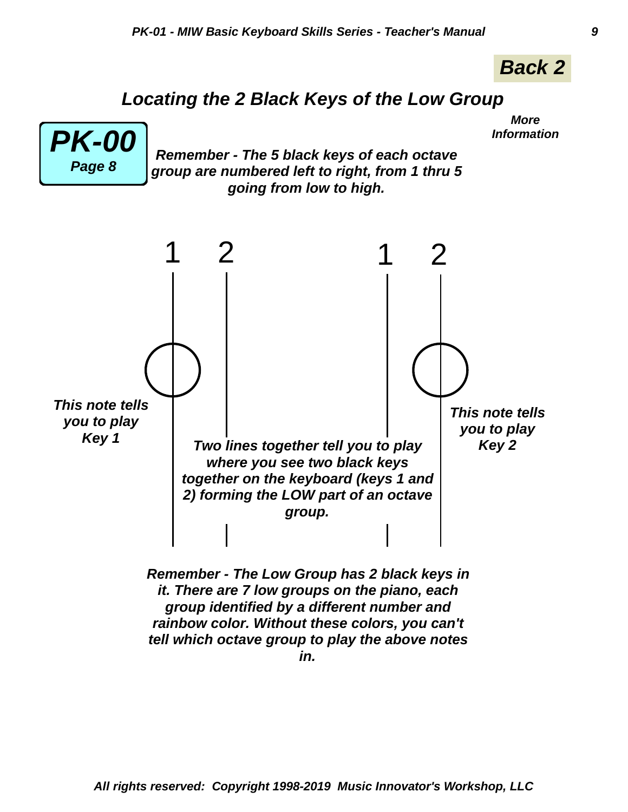

*More*

# *Locating the 2 Black Keys of the Low Group*



*Remember - The 5 black keys of each octave Information PK-00 group are numbered left to right, from 1 thru 5 going from low to high.*

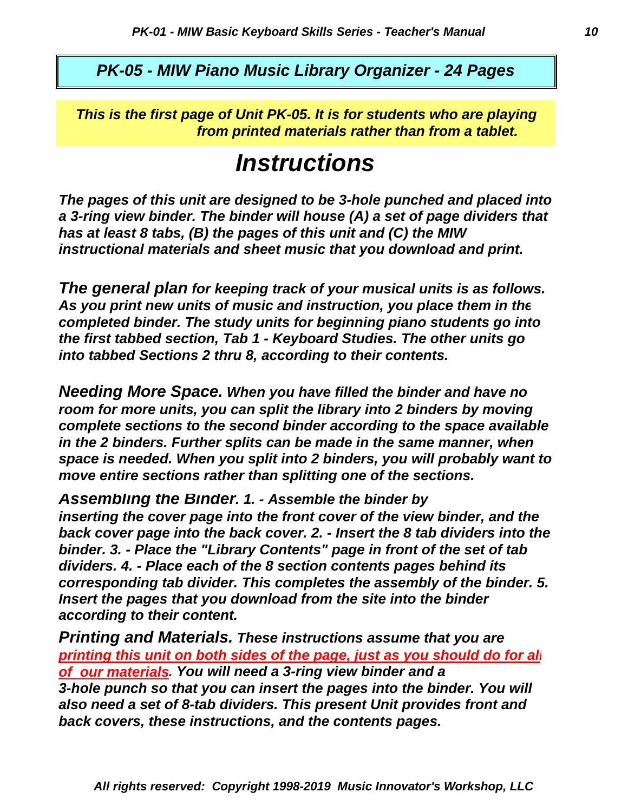*PK-05 - MIW Piano Music Library Organizer - 24 Pages*

*from printed materials rather than from a tablet. This is the first page of Unit PK-05. It is for students who are playing*

# *Instructions*

*instructional materials and sheet music that you download and print. has at least 8 tabs, (B) the pages of this unit and (C) the MIW a 3-ring view binder. The binder will house (A) a set of page dividers that The pages of this unit are designed to be 3-hole punched and placed into*

*into tabbed Sections 2 thru 8, according to their contents. the first tabbed section, Tab 1 - Keyboard Studies. The other units go completed binder. The study units for beginning piano students go into As you print new units of music and instruction, you place them in the The general plan for keeping track of your musical units is as follows.*

*move entire sections rather than splitting one of the sections. space is needed. When you split into 2 binders, you will probably want to in the 2 binders. Further splits can be made in the same manner, when complete sections to the second binder according to the space available room for more units, you can split the library into 2 binders by moving Needing More Space. When you have filled the binder and have no*

*according to their content. Insert the pages that you download from the site into the binder corresponding tab divider. This completes the assembly of the binder. 5. dividers. 4. - Place each of the 8 section contents pages behind its binder. 3. - Place the "Library Contents" page in front of the set of tab back cover page into the back cover. 2. - Insert the 8 tab dividers into the inserting the cover page into the front cover of the view binder, and the Assembling the Binder. 1. - Assemble the binder by*

*back covers, these instructions, and the contents pages. also need a set of 8-tab dividers. This present Unit provides front and 3-hole punch so that you can insert the pages into the binder. You will of our materials. You will need a 3-ring view binder and a printing this unit on both sides of the page, just as you should do for all Printing and Materials. These instructions assume that you are*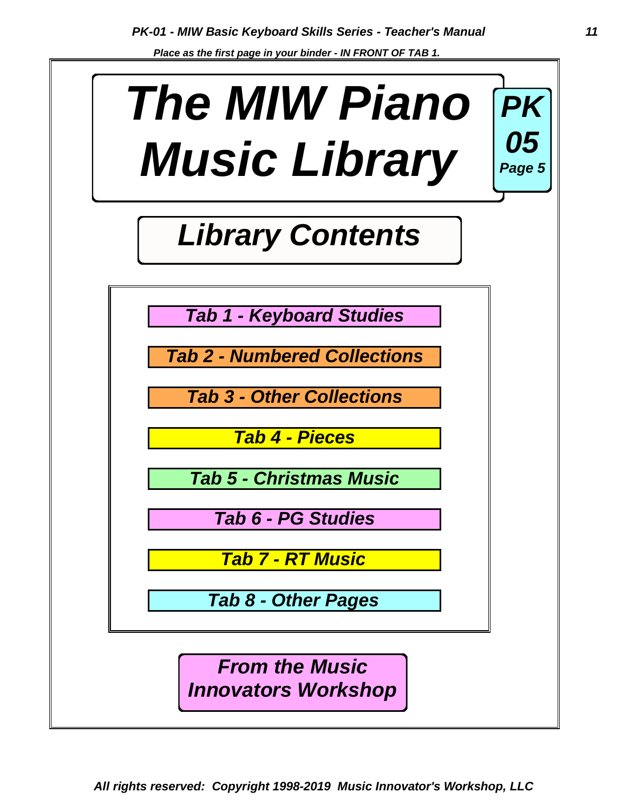*Place as the first page in your binder - IN FRONT OF TAB 1.* 

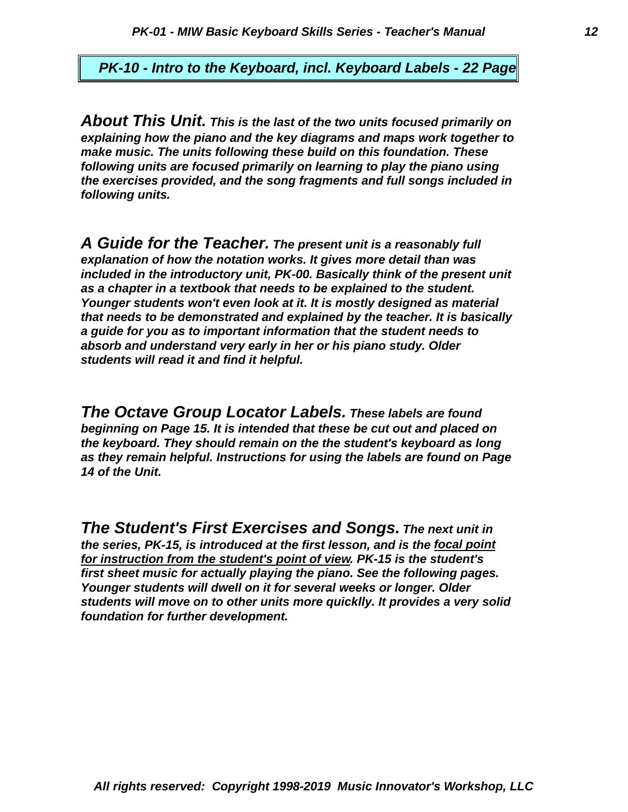*PK-10 - Intro to the Keyboard, incl. Keyboard Labels - 22 Page*

*following units. the exercises provided, and the song fragments and full songs included in following units are focused primarily on learning to play the piano using make music. The units following these build on this foundation. These explaining how the piano and the key diagrams and maps work together to About This Unit. This is the last of the two units focused primarily on*

*students will read it and find it helpful. absorb and understand very early in her or his piano study. Older a guide for you as to important information that the student needs to that needs to be demonstrated and explained by the teacher. It is basically Younger students won't even look at it. It is mostly designed as material as a chapter in a textbook that needs to be explained to the student. included in the introductory unit, PK-00. Basically think of the present unit explanation of how the notation works. It gives more detail than was A Guide for the Teacher. The present unit is a reasonably full*

*14 of the Unit. as they remain helpful. Instructions for using the labels are found on Page the keyboard. They should remain on the the student's keyboard as long beginning on Page 15. It is intended that these be cut out and placed on The Octave Group Locator Labels. These labels are found*

*foundation for further development. students will move on to other units more quicklly. It provides a very solid Younger students will dwell on it for several weeks or longer. Older first sheet music for actually playing the piano. See the following pages. for instruction from the student's point of view. PK-15 is the student's the series, PK-15, is introduced at the first lesson, and is the focal point The Student's First Exercises and Songs. The next unit in*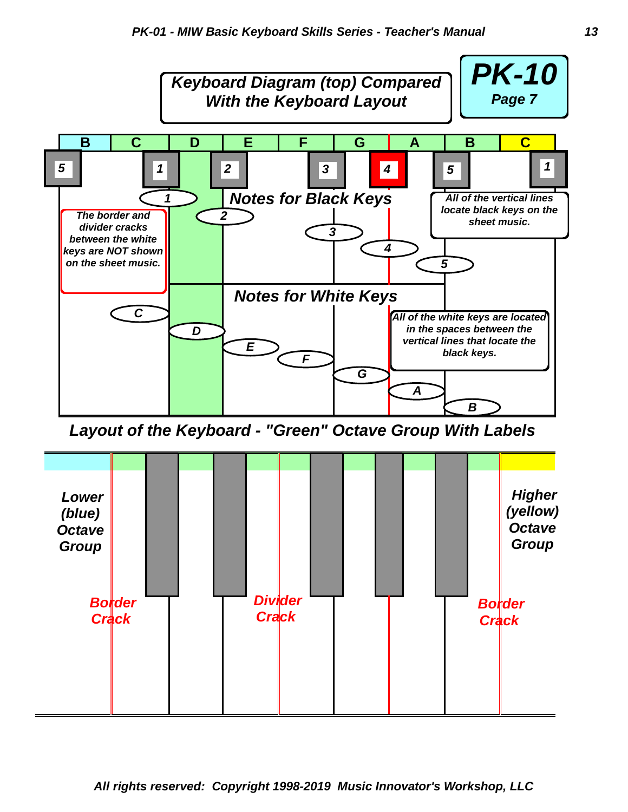

*Layout of the Keyboard - "Green" Octave Group With Labels*

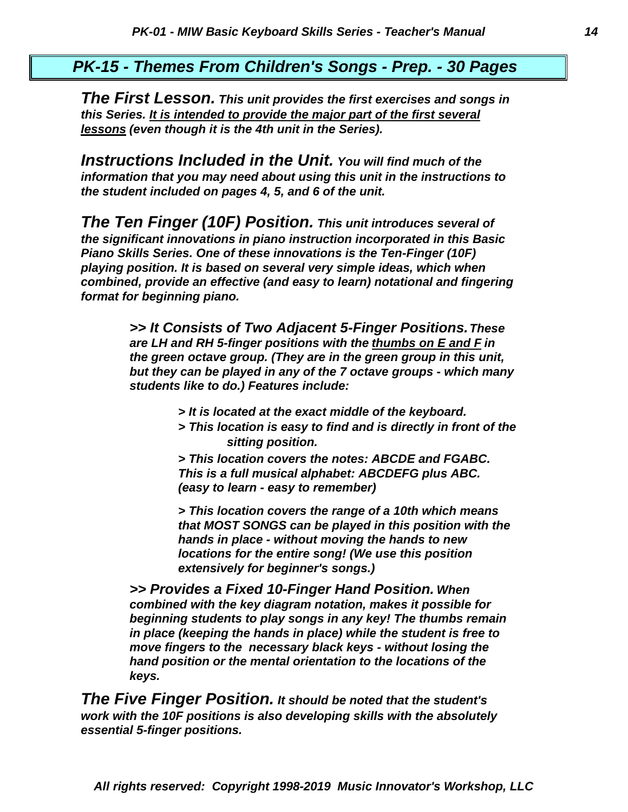#### *PK-15 - Themes From Children's Songs - Prep. - 30 Pages*

*lessons (even though it is the 4th unit in the Series). this Series. It is intended to provide the major part of the first several The First Lesson. This unit provides the first exercises and songs in*

*the student included on pages 4, 5, and 6 of the unit. information that you may need about using this unit in the instructions to Instructions Included in the Unit. You will find much of the*

*format for beginning piano. combined, provide an effective (and easy to learn) notational and fingering playing position. It is based on several very simple ideas, which when Piano Skills Series. One of these innovations is the Ten-Finger (10F) the significant innovations in piano instruction incorporated in this Basic The Ten Finger (10F) Position. This unit introduces several of*

> *students like to do.) Features include: but they can be played in any of the 7 octave groups - which many the green octave group. (They are in the green group in this unit, are LH and RH 5-finger positions with the thumbs on E and F in >> It Consists of Two Adjacent 5-Finger Positions. These*

- *> It is located at the exact middle of the keyboard.*
- *> This location is easy to find and is directly in front of the sitting position.*

*(easy to learn - easy to remember) This is a full musical alphabet: ABCDEFG plus ABC. > This location covers the notes: ABCDE and FGABC.*

*extensively for beginner's songs.) locations for the entire song! (We use this position hands in place - without moving the hands to new that MOST SONGS can be played in this position with the > This location covers the range of a 10th which means*

*keys. hand position or the mental orientation to the locations of the move fingers to the necessary black keys - without losing the in place (keeping the hands in place) while the student is free to beginning students to play songs in any key! The thumbs remain combined with the key diagram notation, makes it possible for >> Provides a Fixed 10-Finger Hand Position. When*

*essential 5-finger positions. work with the 10F positions is also developing skills with the absolutely The Five Finger Position. It should be noted that the student's*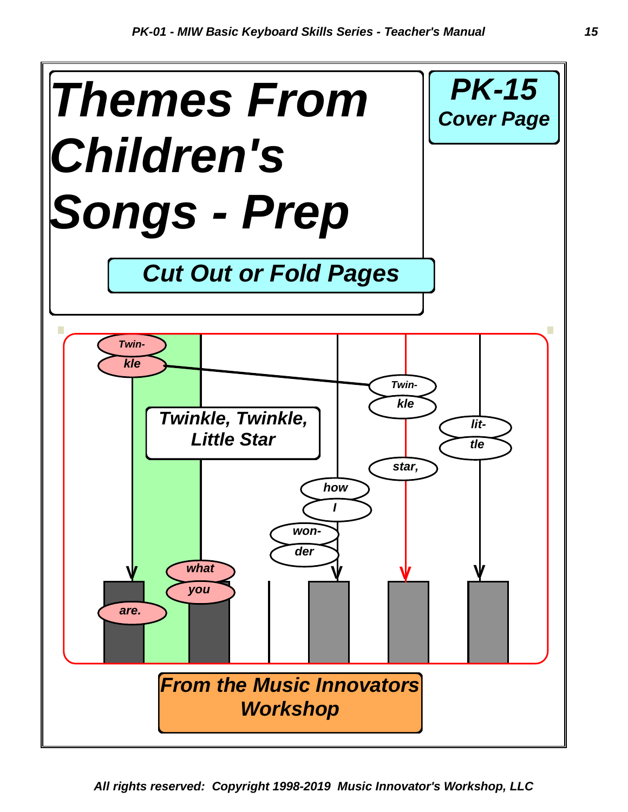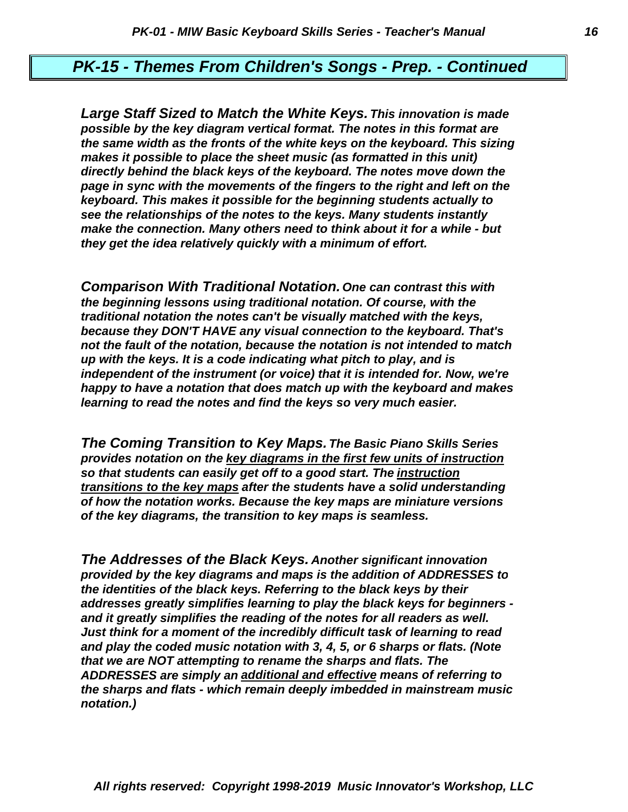#### *PK-15 - Themes From Children's Songs - Prep. - Continued*

*they get the idea relatively quickly with a minimum of effort. make the connection. Many others need to think about it for a while - but see the relationships of the notes to the keys. Many students instantly keyboard. This makes it possible for the beginning students actually to page in sync with the movements of the fingers to the right and left on the directly behind the black keys of the keyboard. The notes move down the makes it possible to place the sheet music (as formatted in this unit) the same width as the fronts of the white keys on the keyboard. This sizing possible by the key diagram vertical format. The notes in this format are Large Staff Sized to Match the White Keys. This innovation is made*

*learning to read the notes and find the keys so very much easier. happy to have a notation that does match up with the keyboard and makes independent of the instrument (or voice) that it is intended for. Now, we're up with the keys. It is a code indicating what pitch to play, and is not the fault of the notation, because the notation is not intended to match because they DON'T HAVE any visual connection to the keyboard. That's traditional notation the notes can't be visually matched with the keys, the beginning lessons using traditional notation. Of course, with the Comparison With Traditional Notation. One can contrast this with*

*of the key diagrams, the transition to key maps is seamless. of how the notation works. Because the key maps are miniature versions transitions to the key maps after the students have a solid understanding so that students can easily get off to a good start. The instruction provides notation on the key diagrams in the first few units of instruction The Coming Transition to Key Maps. The Basic Piano Skills Series*

*notation.) the sharps and flats - which remain deeply imbedded in mainstream music ADDRESSES are simply an additional and effective means of referring to that we are NOT attempting to rename the sharps and flats. The and play the coded music notation with 3, 4, 5, or 6 sharps or flats. (Note Just think for a moment of the incredibly difficult task of learning to read and it greatly simplifies the reading of the notes for all readers as well. addresses greatly simplifies learning to play the black keys for beginners the identities of the black keys. Referring to the black keys by their provided by the key diagrams and maps is the addition of ADDRESSES to The Addresses of the Black Keys. Another significant innovation*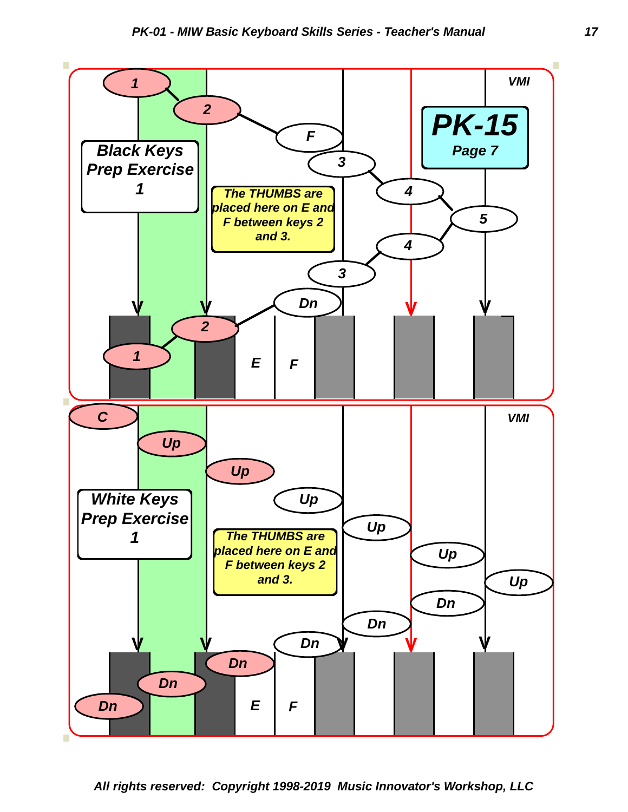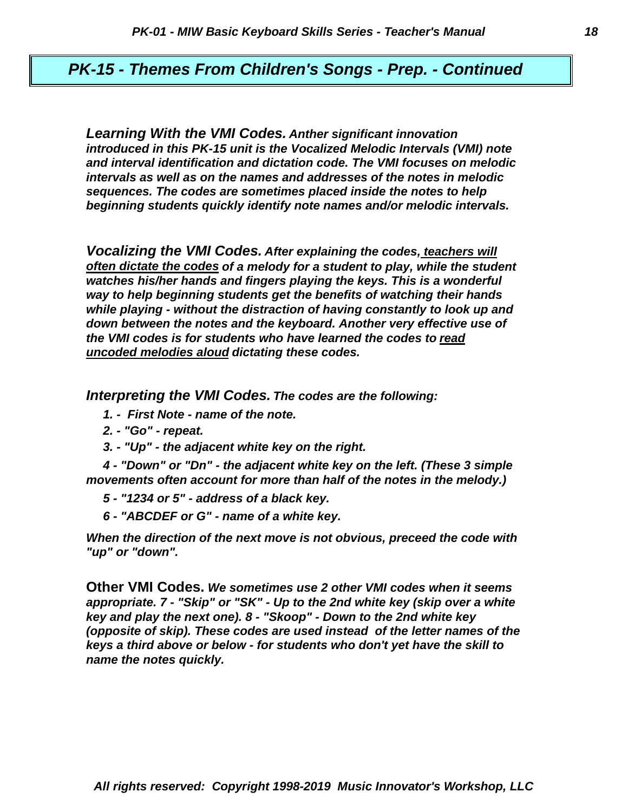#### *PK-15 - Themes From Children's Songs - Prep. - Continued*

*beginning students quickly identify note names and/or melodic intervals. sequences. The codes are sometimes placed inside the notes to help intervals as well as on the names and addresses of the notes in melodic and interval identification and dictation code. The VMI focuses on melodic introduced in this PK-15 unit is the Vocalized Melodic Intervals (VMI) note Learning With the VMI Codes. Anther significant innovation*

*uncoded melodies aloud dictating these codes. the VMI codes is for students who have learned the codes to read down between the notes and the keyboard. Another very effective use of while playing - without the distraction of having constantly to look up and way to help beginning students get the benefits of watching their hands watches his/her hands and fingers playing the keys. This is a wonderful often dictate the codes of a melody for a student to play, while the student Vocalizing the VMI Codes. After explaining the codes, teachers will*

*Interpreting the VMI Codes. The codes are the following:* 

- *1. First Note name of the note.*
- *2. "Go" repeat.*
- *3. "Up" the adjacent white key on the right.*

*movements often account for more than half of the notes in the melody.) 4 - "Down" or "Dn" - the adjacent white key on the left. (These 3 simple* 

- *5 "1234 or 5" address of a black key.*
- *6 "ABCDEF or G" name of a white key.*

*"up" or "down". When the direction of the next move is not obvious, preceed the code with*

*name the notes quickly. keys a third above or below - for students who don't yet have the skill to (opposite of skip). These codes are used instead of the letter names of the key and play the next one). 8 - "Skoop" - Down to the 2nd white key appropriate. 7 - "Skip" or "SK" - Up to the 2nd white key (skip over a white* **Other VMI Codes.** *We sometimes use 2 other VMI codes when it seems*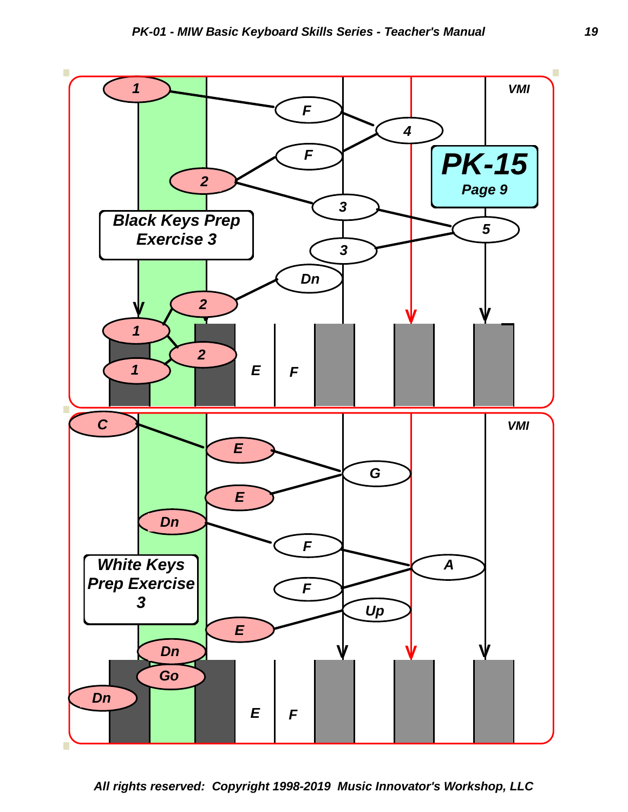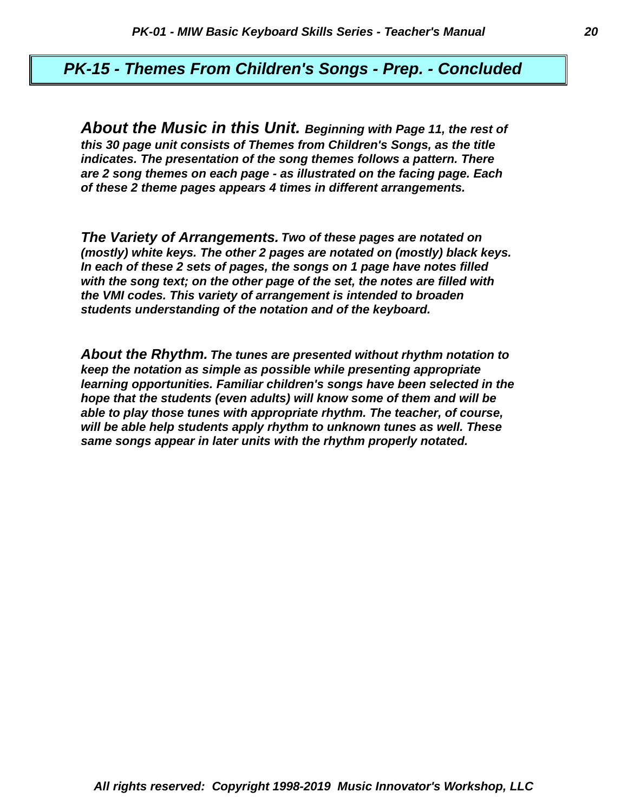#### *PK-15 - Themes From Children's Songs - Prep. - Concluded*

*of these 2 theme pages appears 4 times in different arrangements. are 2 song themes on each page - as illustrated on the facing page. Each indicates. The presentation of the song themes follows a pattern. There this 30 page unit consists of Themes from Children's Songs, as the title About the Music in this Unit. Beginning with Page 11, the rest of*

*students understanding of the notation and of the keyboard. the VMI codes. This variety of arrangement is intended to broaden with the song text; on the other page of the set, the notes are filled with In each of these 2 sets of pages, the songs on 1 page have notes filled (mostly) white keys. The other 2 pages are notated on (mostly) black keys. The Variety of Arrangements. Two of these pages are notated on*

*same songs appear in later units with the rhythm properly notated. will be able help students apply rhythm to unknown tunes as well. These able to play those tunes with appropriate rhythm. The teacher, of course, hope that the students (even adults) will know some of them and will be learning opportunities. Familiar children's songs have been selected in the keep the notation as simple as possible while presenting appropriate About the Rhythm. The tunes are presented without rhythm notation to*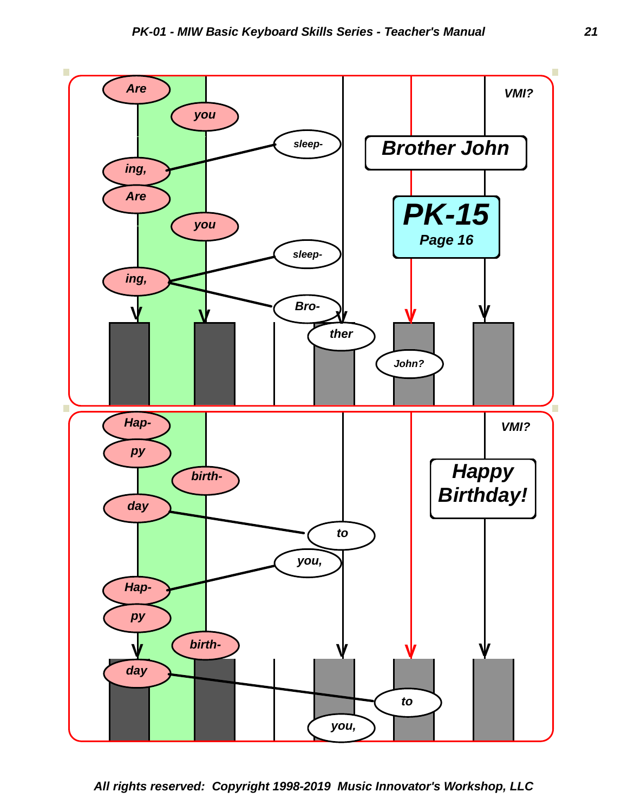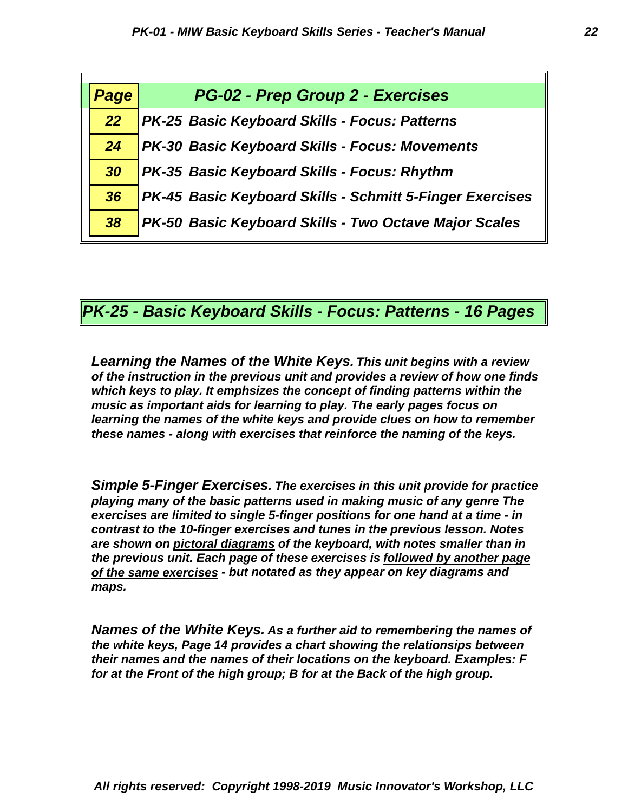| Page | PG-02 - Prep Group 2 - Exercises                         |
|------|----------------------------------------------------------|
|      |                                                          |
| 22   | PK-25 Basic Keyboard Skills - Focus: Patterns            |
| 24   | PK-30 Basic Keyboard Skills - Focus: Movements           |
| 30   | PK-35 Basic Keyboard Skills - Focus: Rhythm              |
| 36   | PK-45 Basic Keyboard Skills - Schmitt 5-Finger Exercises |
| 38   | PK-50 Basic Keyboard Skills - Two Octave Major Scales    |

*PK-25 - Basic Keyboard Skills - Focus: Patterns - 16 Pages*

*these names - along with exercises that reinforce the naming of the keys. learning the names of the white keys and provide clues on how to remember music as important aids for learning to play. The early pages focus on which keys to play. It emphsizes the concept of finding patterns within the of the instruction in the previous unit and provides a review of how one finds Learning the Names of the White Keys. This unit begins with a review*

*maps. of the same exercises - but notated as they appear on key diagrams and the previous unit. Each page of these exercises is followed by another page are shown on pictoral diagrams of the keyboard, with notes smaller than in contrast to the 10-finger exercises and tunes in the previous lesson. Notes exercises are limited to single 5-finger positions for one hand at a time - in playing many of the basic patterns used in making music of any genre The Simple 5-Finger Exercises. The exercises in this unit provide for practice*

*for at the Front of the high group; B for at the Back of the high group. their names and the names of their locations on the keyboard. Examples: F the white keys, Page 14 provides a chart showing the relationsips between Names of the White Keys. As a further aid to remembering the names of*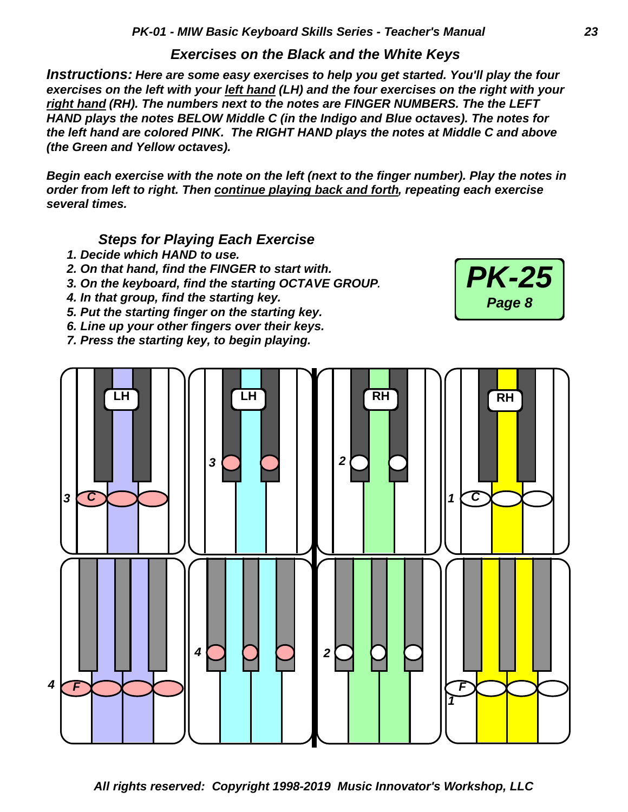*Exercises on the Black and the White Keys*

*Instructions: Here are some easy exercises to help you get started. You'll play the four exercises on the left with your left hand (LH) and the four exercises on the right with your right hand (RH). The numbers next to the notes are FINGER NUMBERS. The the LEFT HAND plays the notes BELOW Middle C (in the Indigo and Blue octaves). The notes for the left hand are colored PINK. The RIGHT HAND plays the notes at Middle C and above (the Green and Yellow octaves).*

*Begin each exercise with the note on the left (next to the finger number). Play the notes in order from left to right. Then continue playing back and forth, repeating each exercise several times.*

 *Steps for Playing Each Exercise*

- *1. Decide which HAND to use.*
- *2. On that hand, find the FINGER to start with.*
- *3. On the keyboard, find the starting OCTAVE GROUP.*
- *4. In that group, find the starting key.*
- *5. Put the starting finger on the starting key.*
- *6. Line up your other fingers over their keys.*
- *7. Press the starting key, to begin playing.*



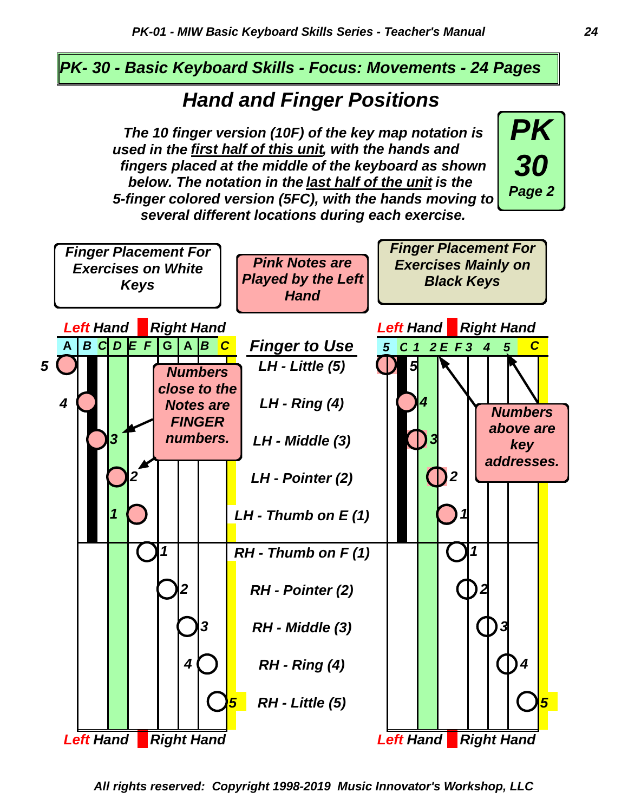#### *PK- 30 - Basic Keyboard Skills - Focus: Movements - 24 Pages*

# *Hand and Finger Positions*

*several different locations during each exercise. 5-finger colored version (5FC), with the hands moving to below. The notation in the last half of the unit is the fingers placed at the middle of the keyboard as shown used in the first half of this unit, with the hands and The 10 finger version (10F) of the key map notation is*





*All rights reserved: Copyright 1998-2019 Music Innovator's Workshop, LLC*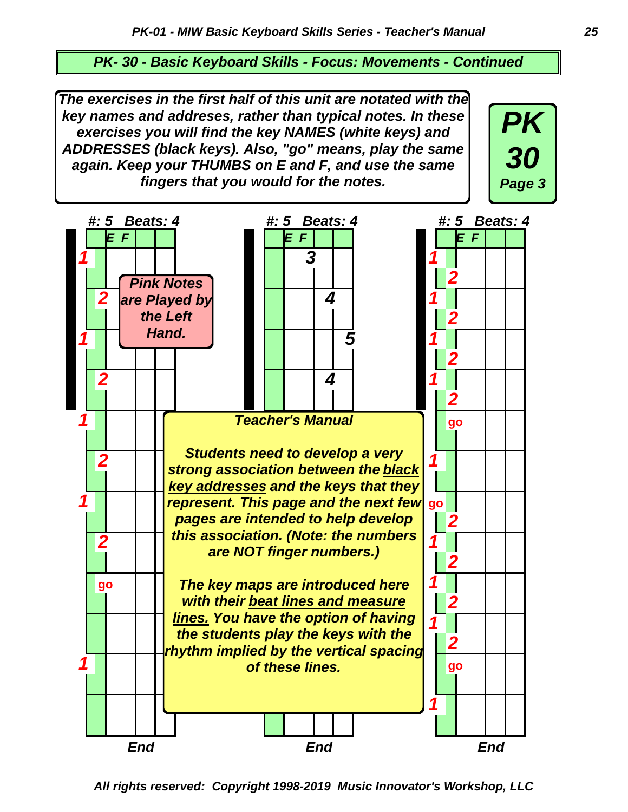*PK- 30 - Basic Keyboard Skills - Focus: Movements - Continued*

*The exercises in the first half of this unit are notated with the key names and addreses, rather than typical notes. In these exercises you will find the key NAMES (white keys) and ADDRESSES (black keys). Also, "go" means, play the same again. Keep your THUMBS on E and F, and use the same fingers that you would for the notes.*





*All rights reserved: Copyright 1998-2019 Music Innovator's Workshop, LLC*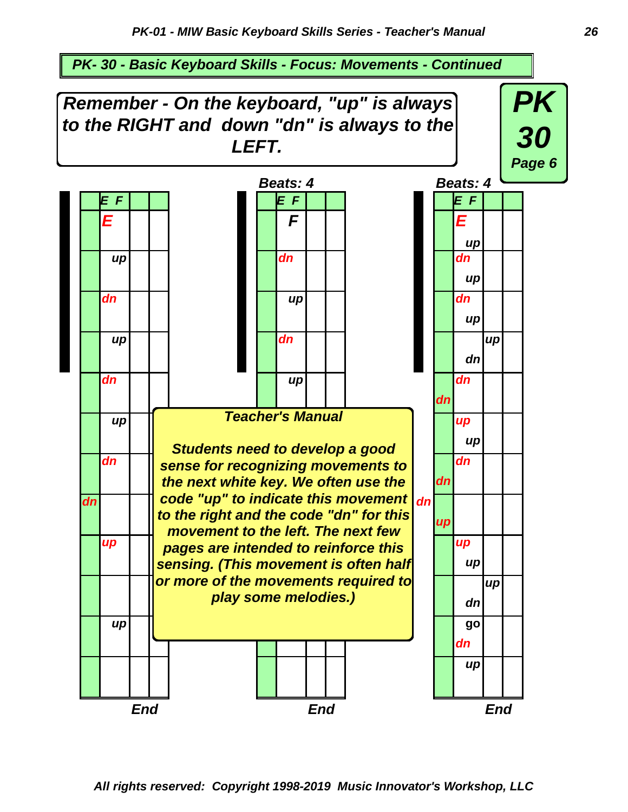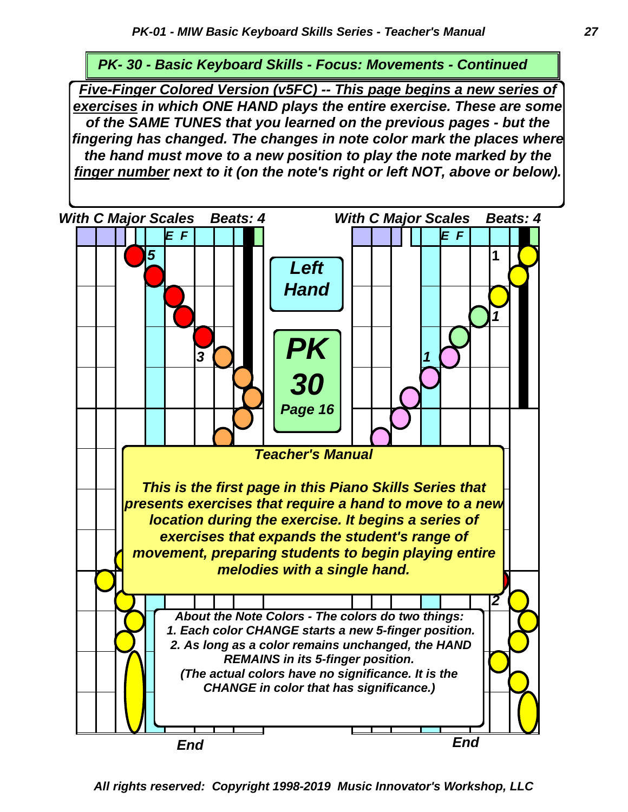*PK- 30 - Basic Keyboard Skills - Focus: Movements - Continued*

*Five-Finger Colored Version (v5FC) -- This page begins a new series of exercises in which ONE HAND plays the entire exercise. These are some of the SAME TUNES that you learned on the previous pages - but the fingering has changed. The changes in note color mark the places where the hand must move to a new position to play the note marked by the finger number next to it (on the note's right or left NOT, above or below).*



*All rights reserved: Copyright 1998-2019 Music Innovator's Workshop, LLC*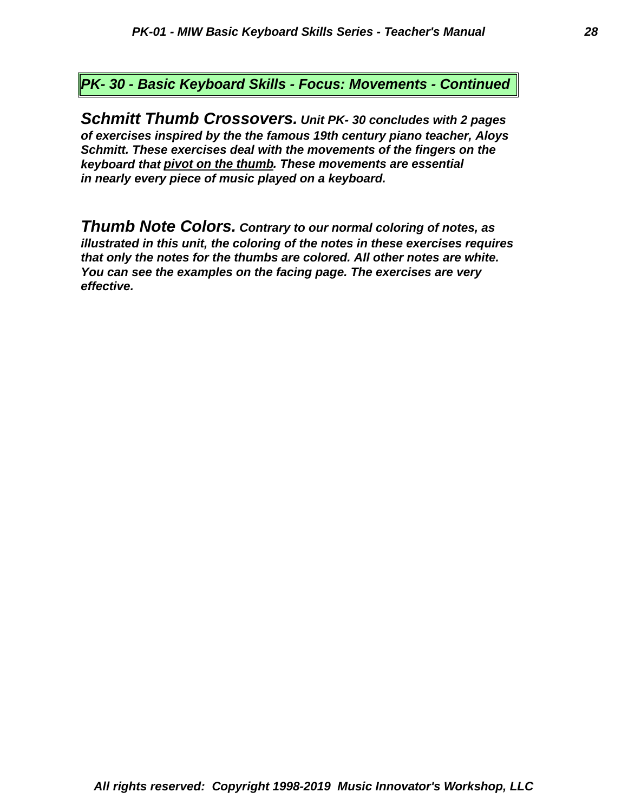*PK- 30 - Basic Keyboard Skills - Focus: Movements - Continued*

*in nearly every piece of music played on a keyboard. keyboard that pivot on the thumb. These movements are essential Schmitt. These exercises deal with the movements of the fingers on the of exercises inspired by the the famous 19th century piano teacher, Aloys Schmitt Thumb Crossovers. Unit PK- 30 concludes with 2 pages*

*effective. You can see the examples on the facing page. The exercises are very that only the notes for the thumbs are colored. All other notes are white. illustrated in this unit, the coloring of the notes in these exercises requires Thumb Note Colors. Contrary to our normal coloring of notes, as*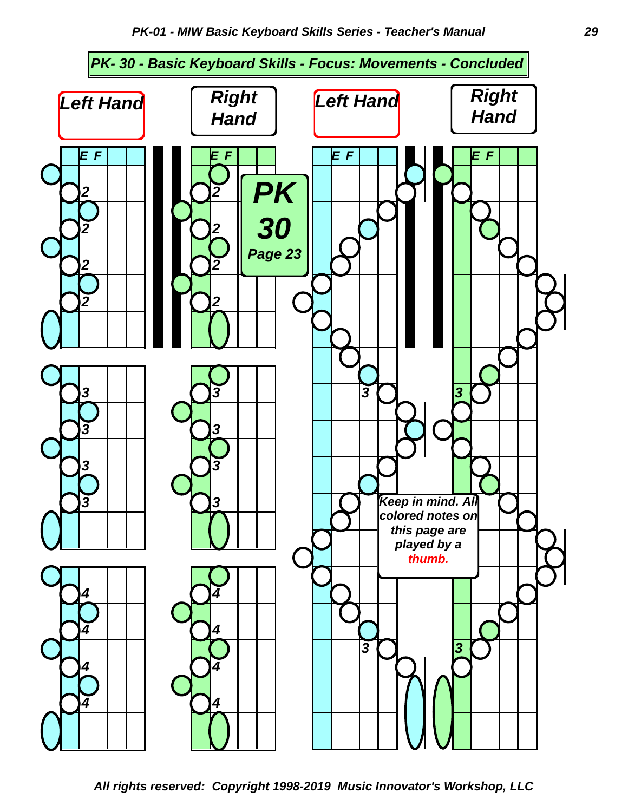

*All rights reserved: Copyright 1998-2019 Music Innovator's Workshop, LLC*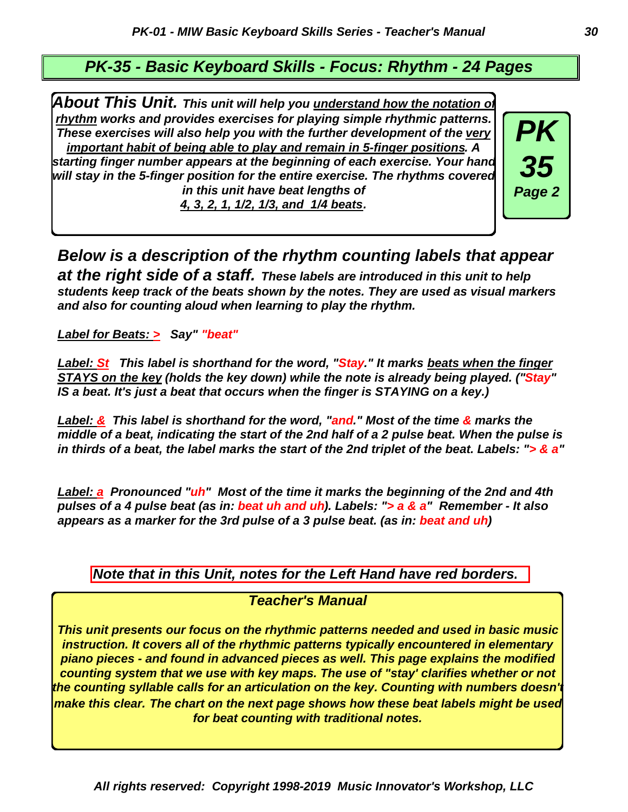#### *PK-35 - Basic Keyboard Skills - Focus: Rhythm - 24 Pages*

*About This Unit. This unit will help you understand how the notation of rhythm works and provides exercises for playing simple rhythmic patterns. These exercises will also help you with the further development of the very important habit of being able to play and remain in 5-finger positions. A starting finger number appears at the beginning of each exercise. Your hand will stay in the 5-finger position for the entire exercise. The rhythms covered in this unit have beat lengths of 4, 3, 2, 1, 1/2, 1/3, and 1/4 beats.*



*Below is a description of the rhythm counting labels that appear at the right side of a staff. These labels are introduced in this unit to help students keep track of the beats shown by the notes. They are used as visual markers and also for counting aloud when learning to play the rhythm.*

*Label for Beats: > Say" "beat"*

*Label: St This label is shorthand for the word, "Stay." It marks beats when the finger STAYS on the key (holds the key down) while the note is already being played. ("Stay" IS a beat. It's just a beat that occurs when the finger is STAYING on a key.)*

*Label: & This label is shorthand for the word, "and." Most of the time & marks the middle of a beat, indicating the start of the 2nd half of a 2 pulse beat. When the pulse is in thirds of a beat, the label marks the start of the 2nd triplet of the beat. Labels: "> & a"*

*Label: a Pronounced "uh" Most of the time it marks the beginning of the 2nd and 4th pulses of a 4 pulse beat (as in: beat uh and uh). Labels: "> a & a" Remember - It also appears as a marker for the 3rd pulse of a 3 pulse beat. (as in: beat and uh)*

*Note that in this Unit, notes for the Left Hand have red borders.*

*Teacher's Manual*

*This unit presents our focus on the rhythmic patterns needed and used in basic music instruction. It covers all of the rhythmic patterns typically encountered in elementary piano pieces - and found in advanced pieces as well. This page explains the modified counting system that we use with key maps. The use of "stay' clarifies whether or not the counting syllable calls for an articulation on the key. Counting with numbers doesn't make this clear. The chart on the next page shows how these beat labels might be used for beat counting with traditional notes.*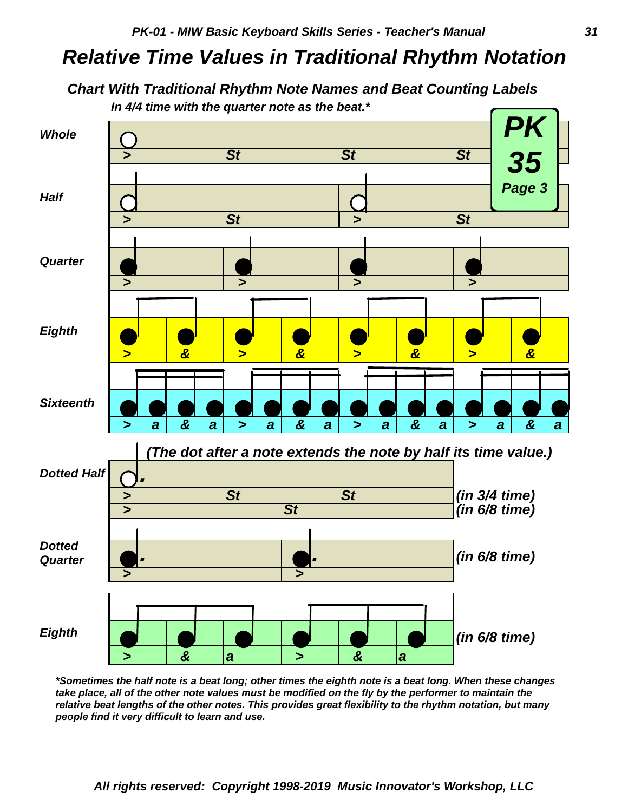# *Relative Time Values in Traditional Rhythm Notation*

#### *Chart With Traditional Rhythm Note Names and Beat Counting Labels In 4/4 time with the quarter note as the beat.\**



*\*Sometimes the half note is a beat long; other times the eighth note is a beat long. When these changes take place, all of the other note values must be modified on the fly by the performer to maintain the relative beat lengths of the other notes. This provides great flexibility to the rhythm notation, but many people find it very difficult to learn and use.*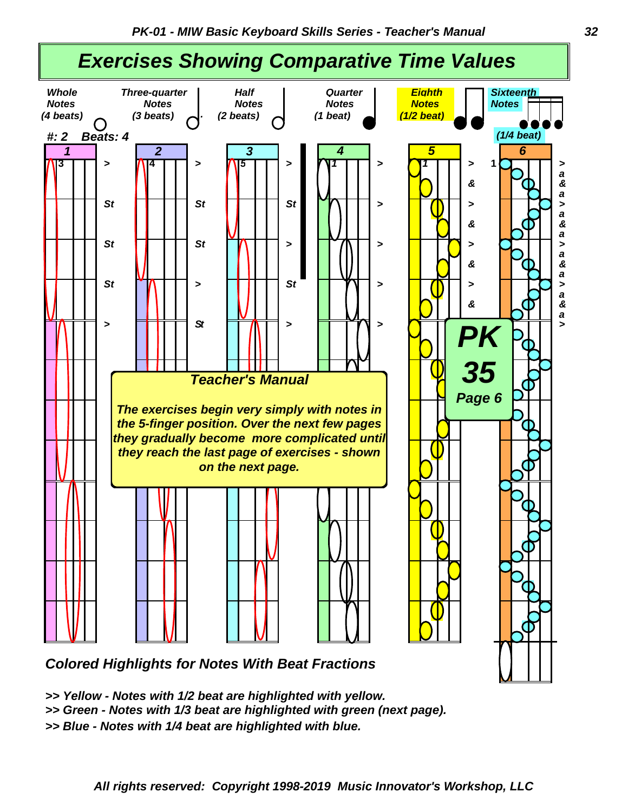

*Colored Highlights for Notes With Beat Fractions*

- *>> Yellow Notes with 1/2 beat are highlighted with yellow.*
- *>> Green Notes with 1/3 beat are highlighted with green (next page).*

*>> Blue - Notes with 1/4 beat are highlighted with blue.*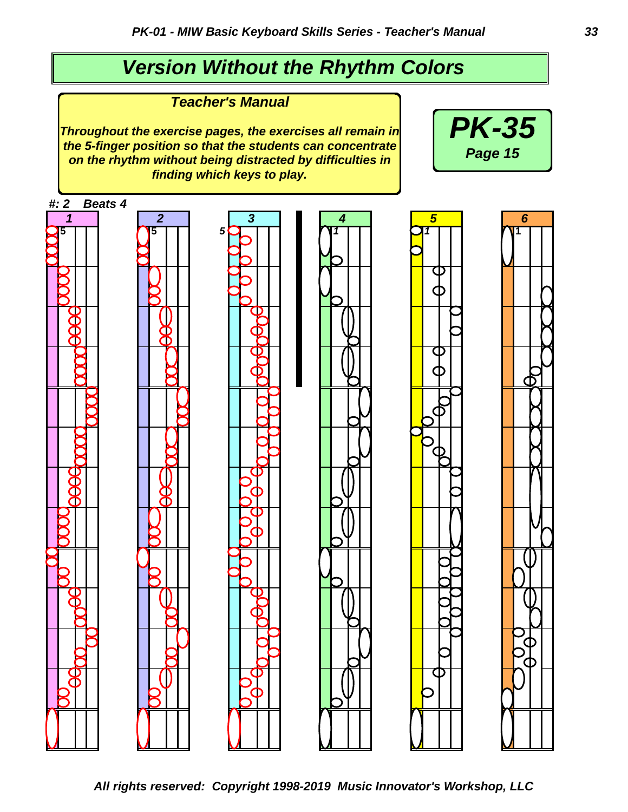# *Version Without the Rhythm Colors*

*Teacher's Manual*

*Throughout the exercise pages, the exercises all remain in the 5-finger position so that the students can concentrate on the rhythm without being distracted by difficulties in finding which keys to play.*



*All rights reserved: Copyright 1998-2019 Music Innovator's Workshop, LLC*

*PK-35*

*Page 15*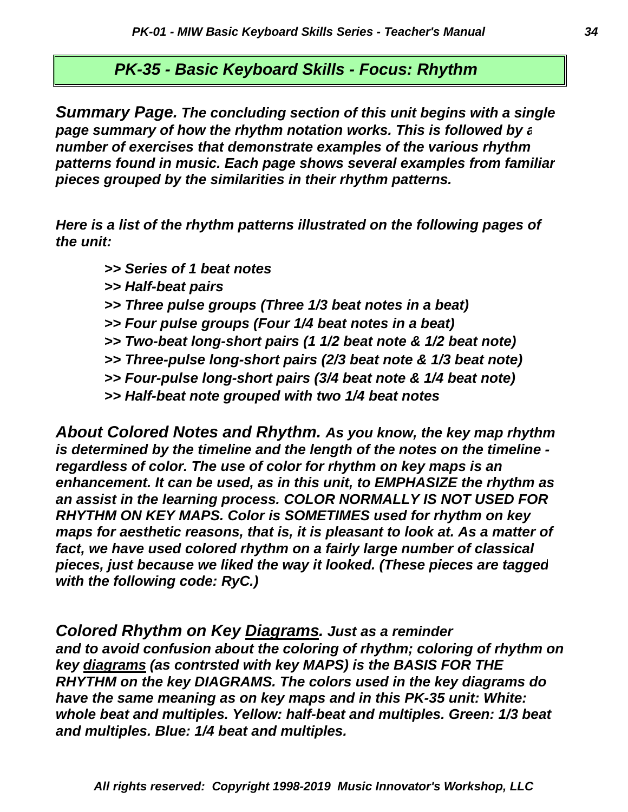#### *PK-35 - Basic Keyboard Skills - Focus: Rhythm*

*pieces grouped by the similarities in their rhythm patterns. patterns found in music. Each page shows several examples from familiar number of exercises that demonstrate examples of the various rhythm page summary of how the rhythm notation works. This is followed by a Summary Page. The concluding section of this unit begins with a single*

*the unit: Here is a list of the rhythm patterns illustrated on the following pages of*

- *>> Series of 1 beat notes*
- *>> Half-beat pairs*
- *>> Three pulse groups (Three 1/3 beat notes in a beat)*
- *>> Four pulse groups (Four 1/4 beat notes in a beat)*
- *>> Two-beat long-short pairs (1 1/2 beat note & 1/2 beat note)*
- *>> Three-pulse long-short pairs (2/3 beat note & 1/3 beat note)*
- *>> Four-pulse long-short pairs (3/4 beat note & 1/4 beat note)*
- *>> Half-beat note grouped with two 1/4 beat notes*

*with the following code: RyC.) pieces, just because we liked the way it looked. (These pieces are tagged fact, we have used colored rhythm on a fairly large number of classical maps for aesthetic reasons, that is, it is pleasant to look at. As a matter of RHYTHM ON KEY MAPS. Color is SOMETIMES used for rhythm on key an assist in the learning process. COLOR NORMALLY IS NOT USED FOR enhancement. It can be used, as in this unit, to EMPHASIZE the rhythm as regardless of color. The use of color for rhythm on key maps is an is determined by the timeline and the length of the notes on the timeline - About Colored Notes and Rhythm. As you know, the key map rhythm*

*and multiples. Blue: 1/4 beat and multiples. whole beat and multiples. Yellow: half-beat and multiples. Green: 1/3 beat have the same meaning as on key maps and in this PK-35 unit: White: RHYTHM on the key DIAGRAMS. The colors used in the key diagrams do key diagrams (as contrsted with key MAPS) is the BASIS FOR THE and to avoid confusion about the coloring of rhythm; coloring of rhythm on Colored Rhythm on Key Diagrams. Just as a reminder*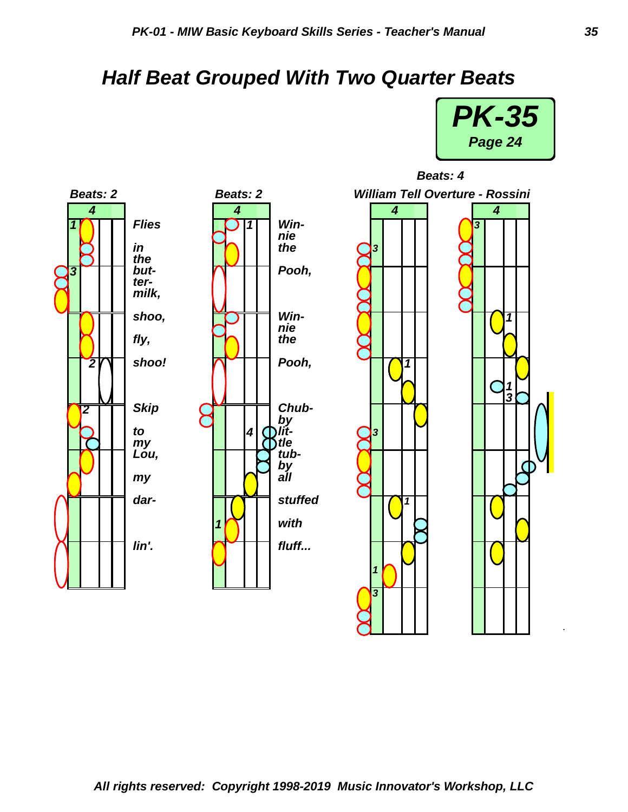# *Half Beat Grouped With Two Quarter Beats*



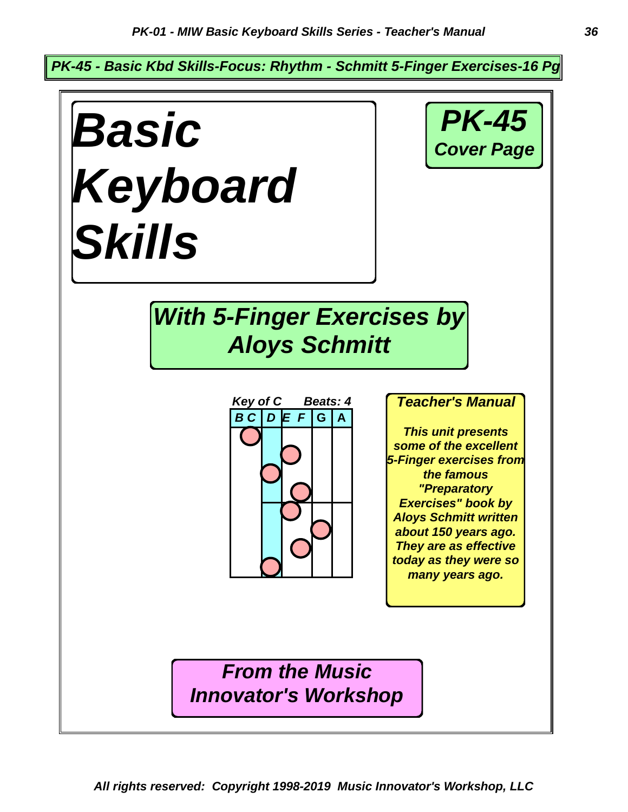*PK-45 - Basic Kbd Skills-Focus: Rhythm - Schmitt 5-Finger Exercises-16 Pg*

*Key of C Beats: 4 B C D E F* **G A** *Basic Keyboard Skills With 5-Finger Exercises by Aloys Schmitt PK-45 Cover Page From the Music Innovator's Workshop Teacher's Manual This unit presents some of the excellent 5-Finger exercises from the famous "Preparatory Exercises" book by Aloys Schmitt written about 150 years ago. They are as effective today as they were so many years ago.*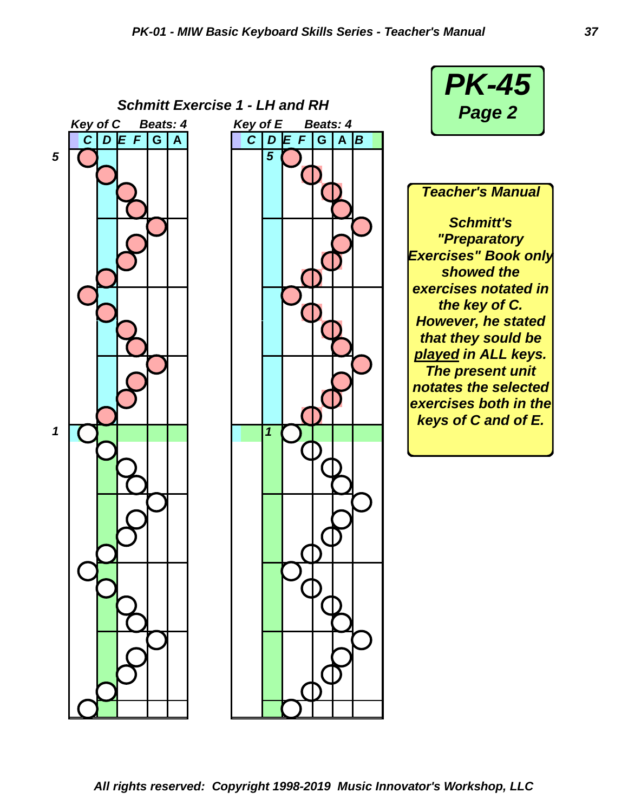*Schmitt Exercise 1 - LH and RH Key of C Beats: 4 Key of E Beats: 4 C D E F* **G A** *C D E F* **G A** *B 5* **[ b l l l i l f f**  *1 5 1*



*Schmitt's "Preparatory Exercises" Book only showed the exercises notated in the key of C.*

*Teacher's Manual*

*However, he stated that they sould be played in ALL keys. The present unit notates the selected exercises both in the keys of C and of E.*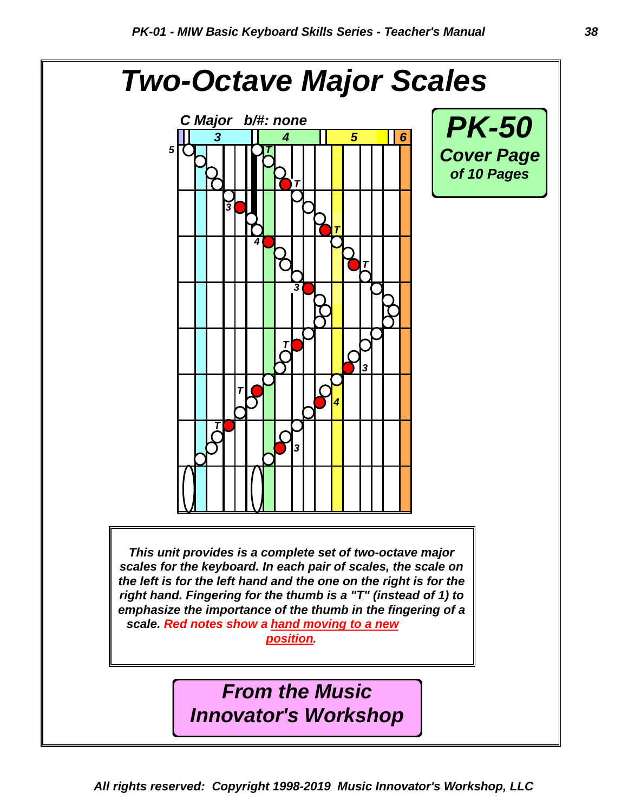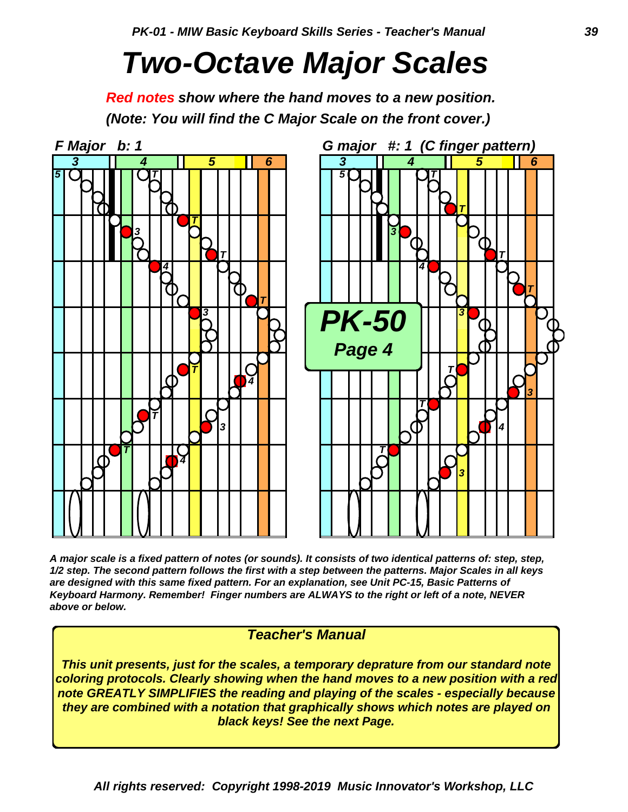# *Two-Octave Major Scales*

*Red notes show where the hand moves to a new position. (Note: You will find the C Major Scale on the front cover.)*



*A major scale is a fixed pattern of notes (or sounds). It consists of two identical patterns of: step, step, 1/2 step. The second pattern follows the first with a step between the patterns. Major Scales in all keys are designed with this same fixed pattern. For an explanation, see Unit PC-15, Basic Patterns of Keyboard Harmony. Remember! Finger numbers are ALWAYS to the right or left of a note, NEVER above or below.*

#### *Teacher's Manual*

*This unit presents, just for the scales, a temporary deprature from our standard note coloring protocols. Clearly showing when the hand moves to a new position with a red note GREATLY SIMPLIFIES the reading and playing of the scales - especially because they are combined with a notation that graphically shows which notes are played on black keys! See the next Page.*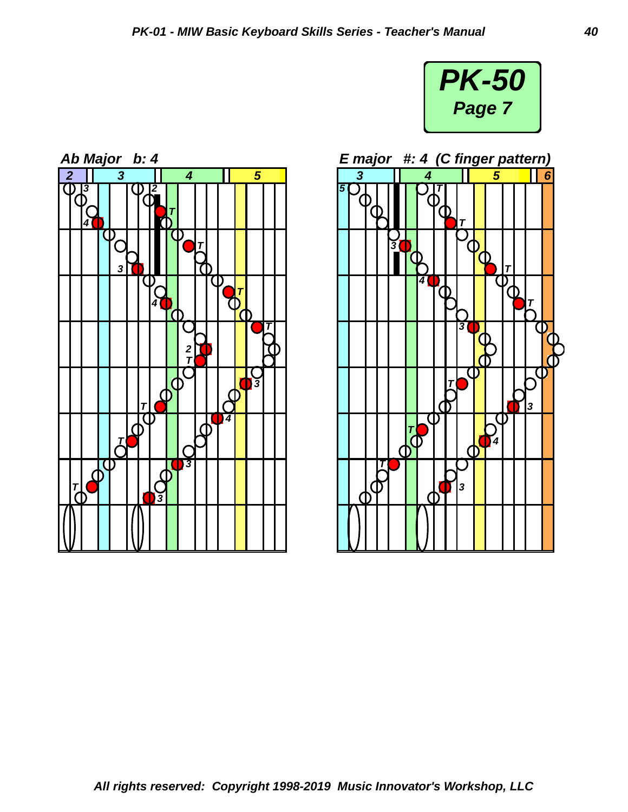

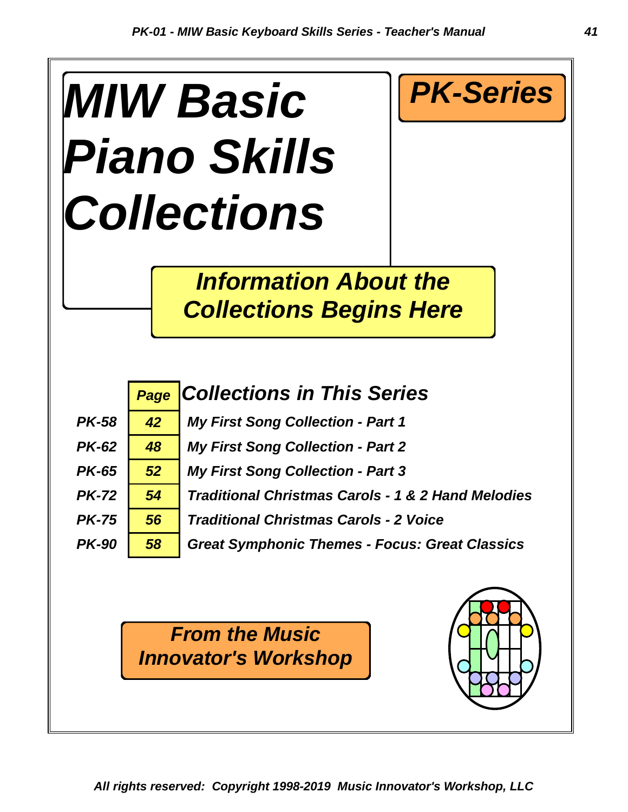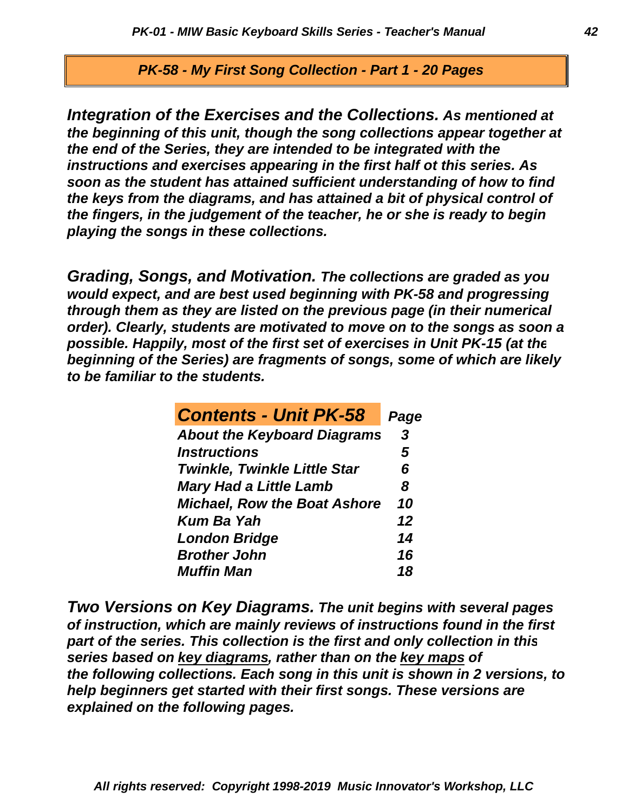*PK-58 - My First Song Collection - Part 1 - 20 Pages* 

*playing the songs in these collections. the fingers, in the judgement of the teacher, he or she is ready to begin the keys from the diagrams, and has attained a bit of physical control of soon as the student has attained sufficient understanding of how to find instructions and exercises appearing in the first half ot this series. As the end of the Series, they are intended to be integrated with the the beginning of this unit, though the song collections appear together at Integration of the Exercises and the Collections. As mentioned at*

*to be familiar to the students. beginning of the Series) are fragments of songs, some of which are likely possible. Happily, most of the first set of exercises in Unit PK-15 (at the order). Clearly, students are motivated to move on to the songs as soon a through them as they are listed on the previous page (in their numerical would expect, and are best used beginning with PK-58 and progressing Grading, Songs, and Motivation. The collections are graded as you*

| <b>Contents - Unit PK-58</b>        | Page |
|-------------------------------------|------|
| <b>About the Keyboard Diagrams</b>  | 3    |
| <b>Instructions</b>                 | 5    |
| <b>Twinkle, Twinkle Little Star</b> | 6    |
| <b>Mary Had a Little Lamb</b>       | 8    |
| <b>Michael, Row the Boat Ashore</b> | 10   |
| <b>Kum Ba Yah</b>                   | 12   |
| <b>London Bridge</b>                | 14   |
| <b>Brother John</b>                 | 16   |
| <b>Muffin Man</b>                   | 18   |

*explained on the following pages. help beginners get started with their first songs. These versions are the following collections. Each song in this unit is shown in 2 versions, to series based on key diagrams, rather than on the key maps of part of the series. This collection is the first and only collection in this of instruction, which are mainly reviews of instructions found in the first Two Versions on Key Diagrams. The unit begins with several pages*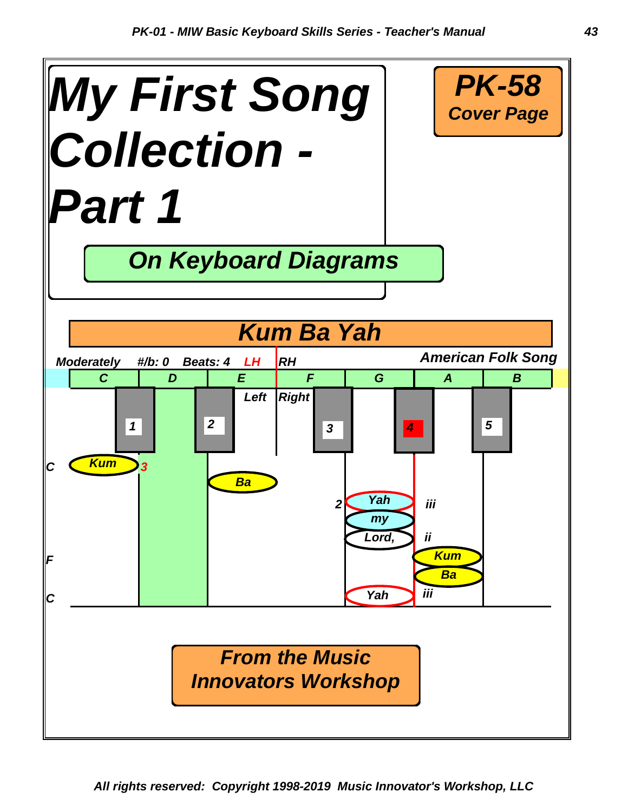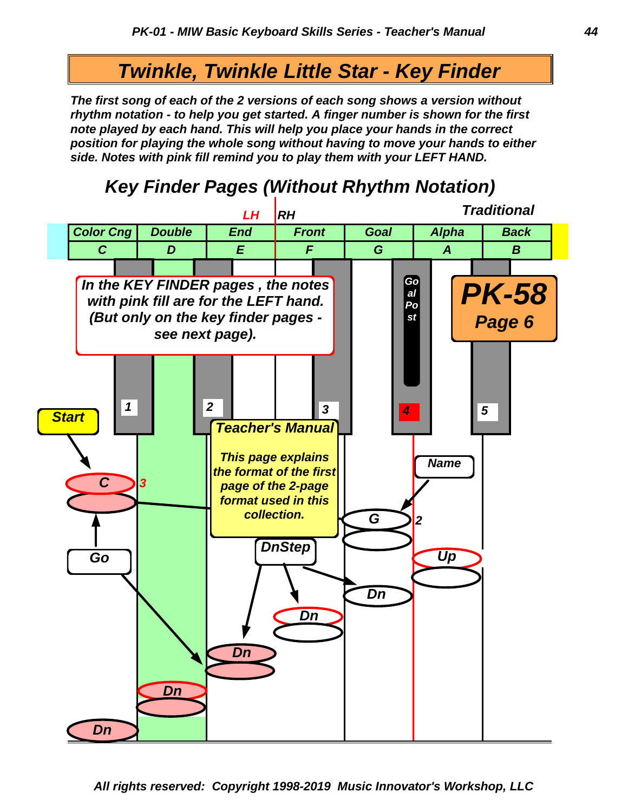# *Twinkle, Twinkle Little Star - Key Finder*

*side. Notes with pink fill remind you to play them with your LEFT HAND. position for playing the whole song without having to move your hands to either note played by each hand. This will help you place your hands in the correct rhythm notation - to help you get started. A finger number is shown for the first The first song of each of the 2 versions of each song shows a version without*



# *Key Finder Pages (Without Rhythm Notation)*

*All rights reserved: Copyright 1998-2019 Music Innovator's Workshop, LLC*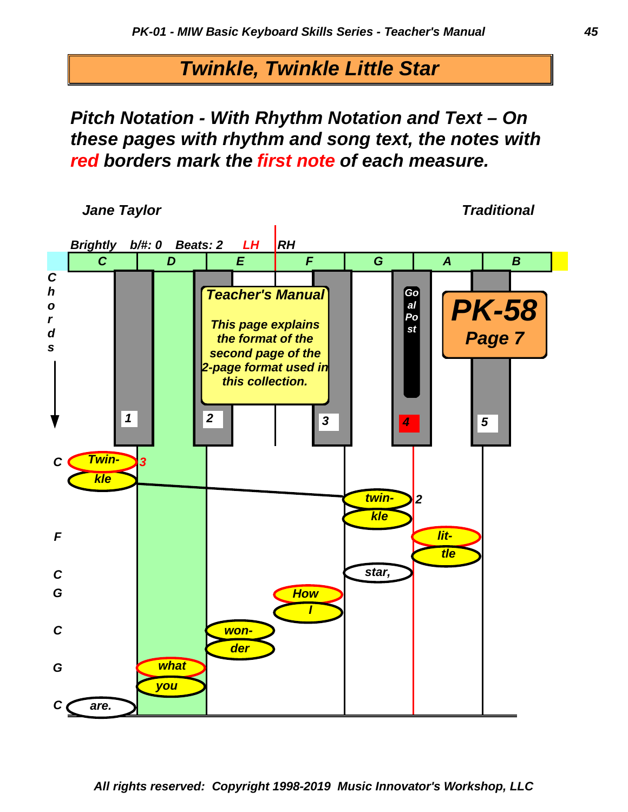*Twinkle, Twinkle Little Star*

*red borders mark the first note of each measure. these pages with rhythm and song text, the notes with Pitch Notation - With Rhythm Notation and Text – On*

*Jane Taylor Jane Taylor <i>Jane Taylor**Traditional* 

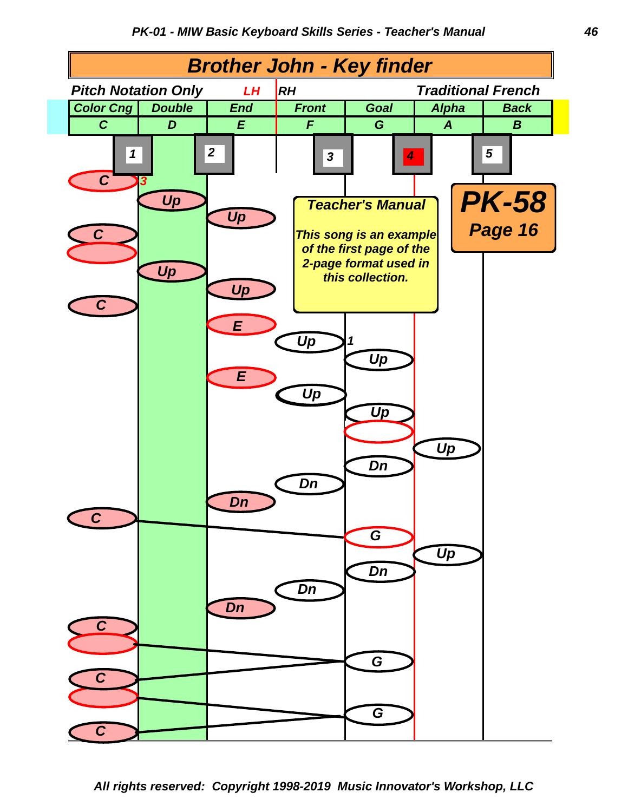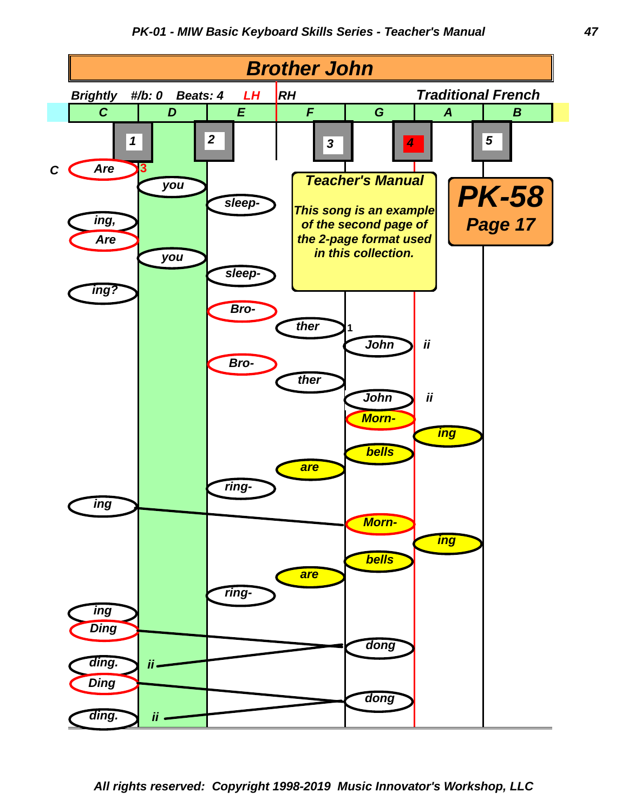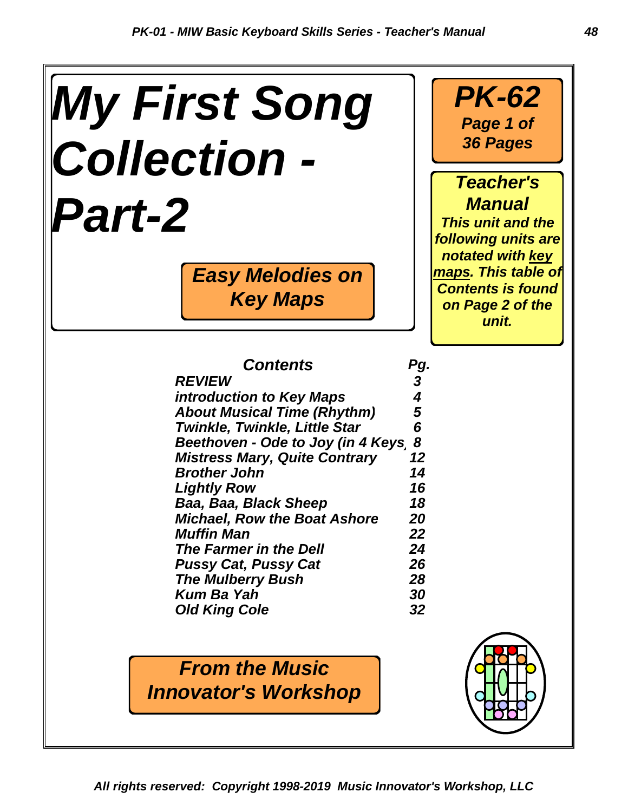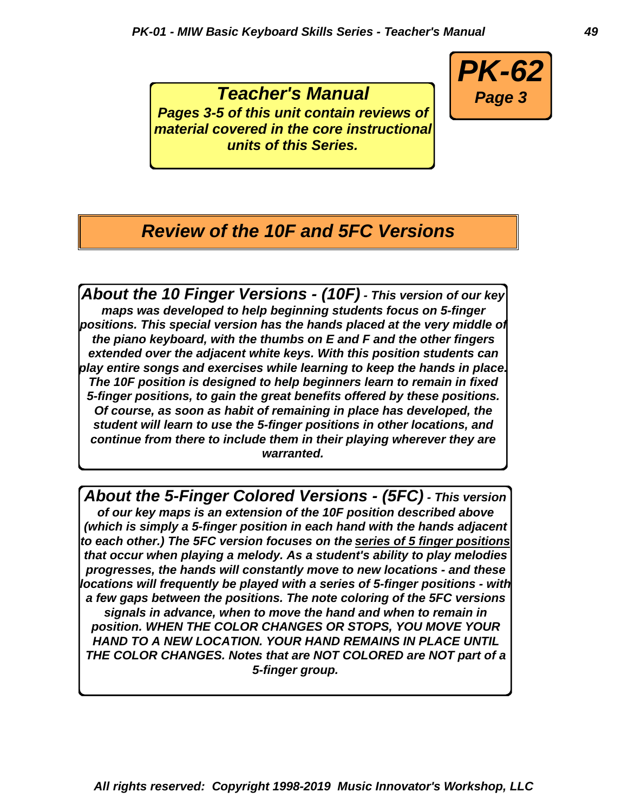*Teacher's Manual Pages 3-5 of this unit contain reviews of material covered in the core instructional units of this Series.*



# *Review of the 10F and 5FC Versions*

*About the 10 Finger Versions - (10F) - This version of our key maps was developed to help beginning students focus on 5-finger positions. This special version has the hands placed at the very middle of the piano keyboard, with the thumbs on E and F and the other fingers extended over the adjacent white keys. With this position students can play entire songs and exercises while learning to keep the hands in place. The 10F position is designed to help beginners learn to remain in fixed 5-finger positions, to gain the great benefits offered by these positions. Of course, as soon as habit of remaining in place has developed, the student will learn to use the 5-finger positions in other locations, and continue from there to include them in their playing wherever they are warranted.*

*About the 5-Finger Colored Versions - (5FC) - This version of our key maps is an extension of the 10F position described above (which is simply a 5-finger position in each hand with the hands adjacent to each other.) The 5FC version focuses on the series of 5 finger positions that occur when playing a melody. As a student's ability to play melodies progresses, the hands will constantly move to new locations - and these locations will frequently be played with a series of 5-finger positions - with a few gaps between the positions. The note coloring of the 5FC versions signals in advance, when to move the hand and when to remain in position. WHEN THE COLOR CHANGES OR STOPS, YOU MOVE YOUR HAND TO A NEW LOCATION. YOUR HAND REMAINS IN PLACE UNTIL THE COLOR CHANGES. Notes that are NOT COLORED are NOT part of a 5-finger group.*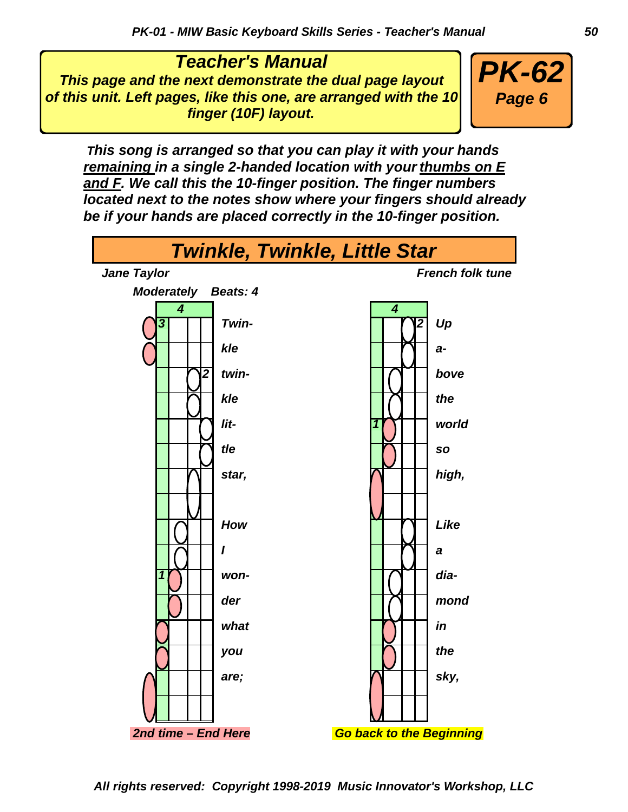*Teacher's Manual This page and the next demonstrate the dual page layout of this unit. Left pages, like this one, are arranged with the 10 finger (10F) layout.*



 *This song is arranged so that you can play it with your hands remaining in a single 2-handed location with your thumbs on E and F. We call this the 10-finger position. The finger numbers located next to the notes show where your fingers should already be if your hands are placed correctly in the 10-finger position.*

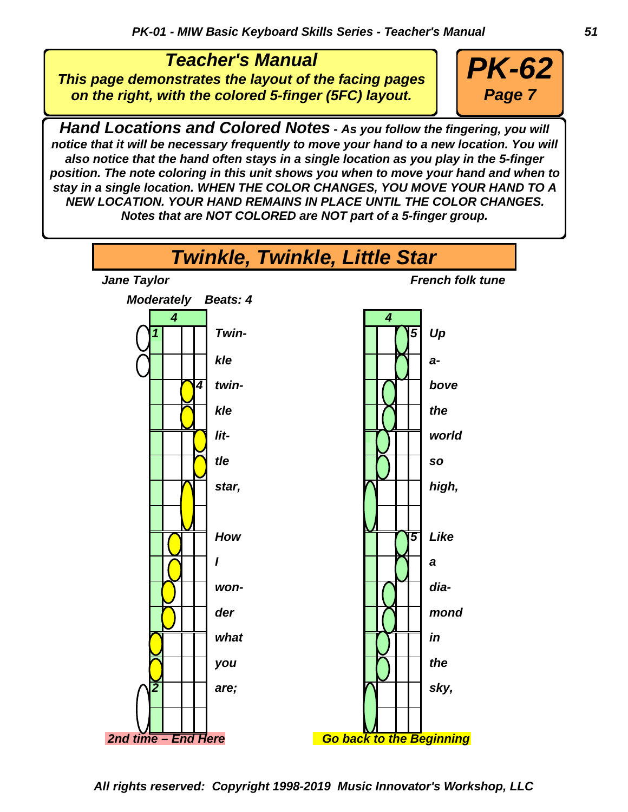*Teacher's Manual This page demonstrates the layout of the facing pages on the right, with the colored 5-finger (5FC) layout.*



*Hand Locations and Colored Notes - As you follow the fingering, you will notice that it will be necessary frequently to move your hand to a new location. You will also notice that the hand often stays in a single location as you play in the 5-finger position. The note coloring in this unit shows you when to move your hand and when to stay in a single location. WHEN THE COLOR CHANGES, YOU MOVE YOUR HAND TO A NEW LOCATION. YOUR HAND REMAINS IN PLACE UNTIL THE COLOR CHANGES. Notes that are NOT COLORED are NOT part of a 5-finger group.*

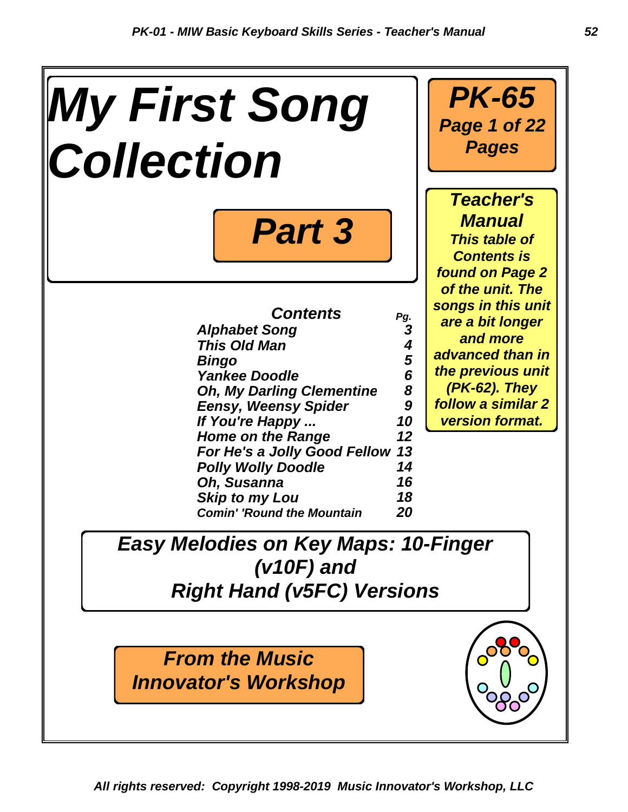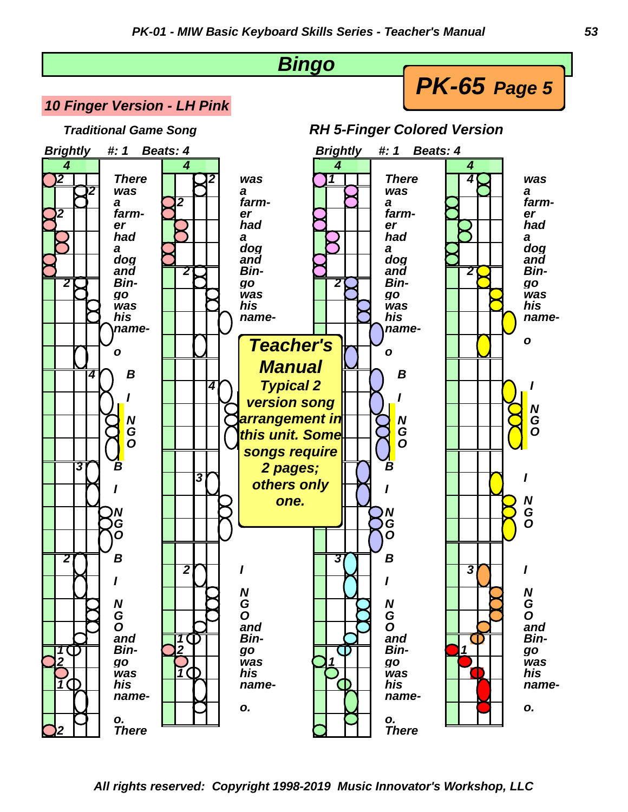*PK-65 Page 5*



#### *10 Finger Version - LH Pink*

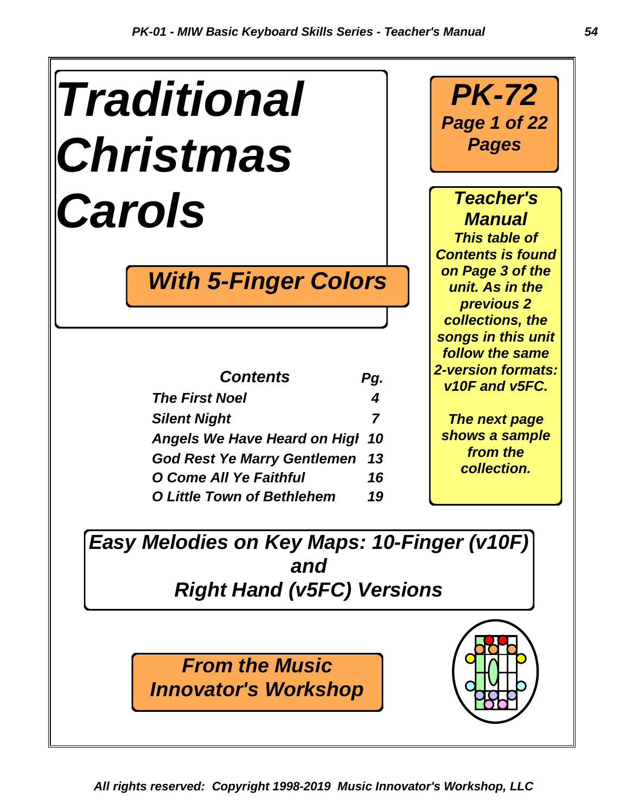| <b>Traditional</b> |
|--------------------|
| <b>Christmas</b>   |
| Carols             |

# *With 5-Finger Colors*

| <b>Contents</b>                    | Pg. |
|------------------------------------|-----|
| <b>The First Noel</b>              | 4   |
| <b>Silent Night</b>                | 7   |
| Angels We Have Heard on Higl 10    |     |
| <b>God Rest Ye Marry Gentlemen</b> | 13  |
| O Come All Ye Faithful             | 16  |
| <b>O Little Town of Bethlehem</b>  | 19  |

*PK-72 Page 1 of 22 Pages*

*Teacher's Manual This table of Contents is found on Page 3 of the unit. As in the previous 2 collections, the songs in this unit follow the same 2-version formats: v10F and v5FC.*

*The next page shows a sample from the collection.*

*Easy Melodies on Key Maps: 10-Finger (v10F) and Right Hand (v5FC) Versions*

> *From the Music Innovator's Workshop*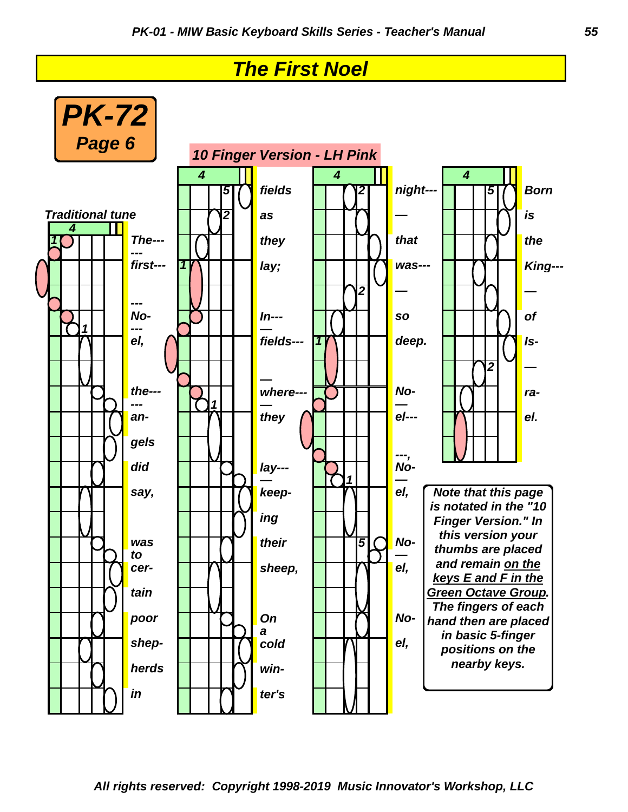# *The First Noel*

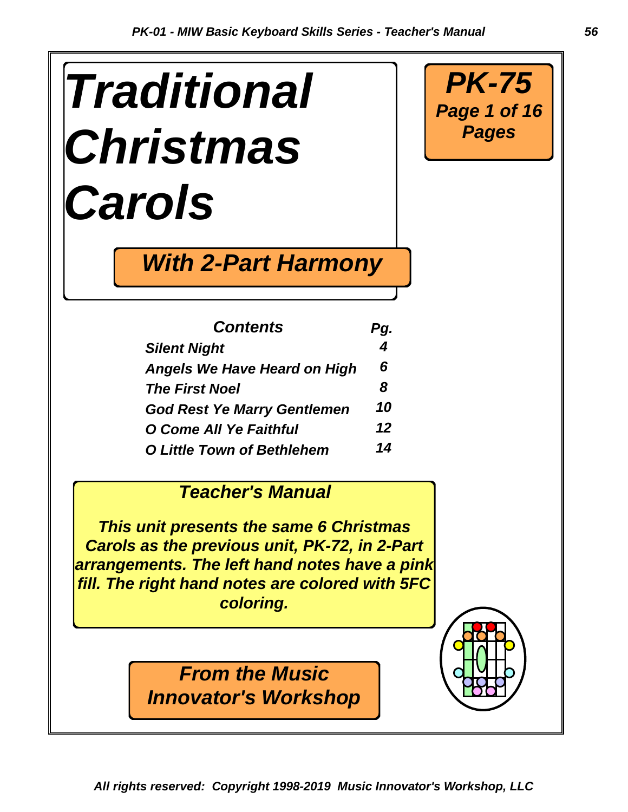# *Traditional Christmas Carols*



| <b>Contents</b>                     | Pg. |
|-------------------------------------|-----|
| <b>Silent Night</b>                 | 4   |
| <b>Angels We Have Heard on High</b> | 6   |
| <b>The First Noel</b>               | 8   |
| <b>God Rest Ye Marry Gentlemen</b>  | 10  |
| O Come All Ye Faithful              | 12  |
| <b>O Little Town of Bethlehem</b>   | 14  |

# *Teacher's Manual*

*This unit presents the same 6 Christmas Carols as the previous unit, PK-72, in 2-Part arrangements. The left hand notes have a pink fill. The right hand notes are colored with 5FC coloring.*

*From the Music*

*Innovator's Workshop*

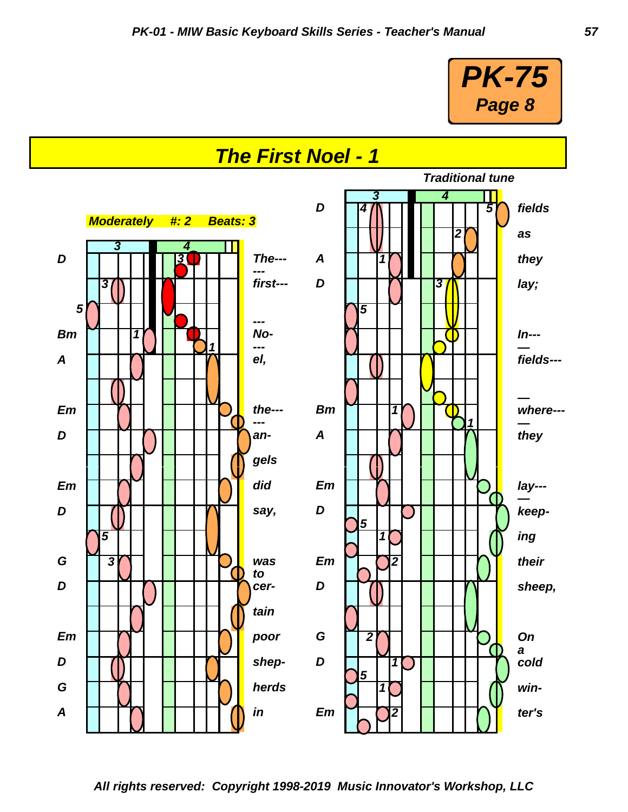

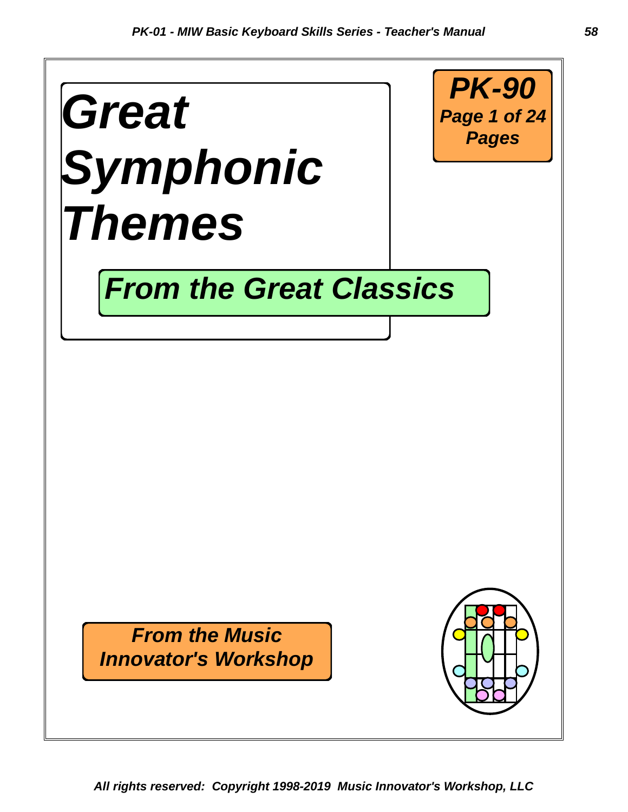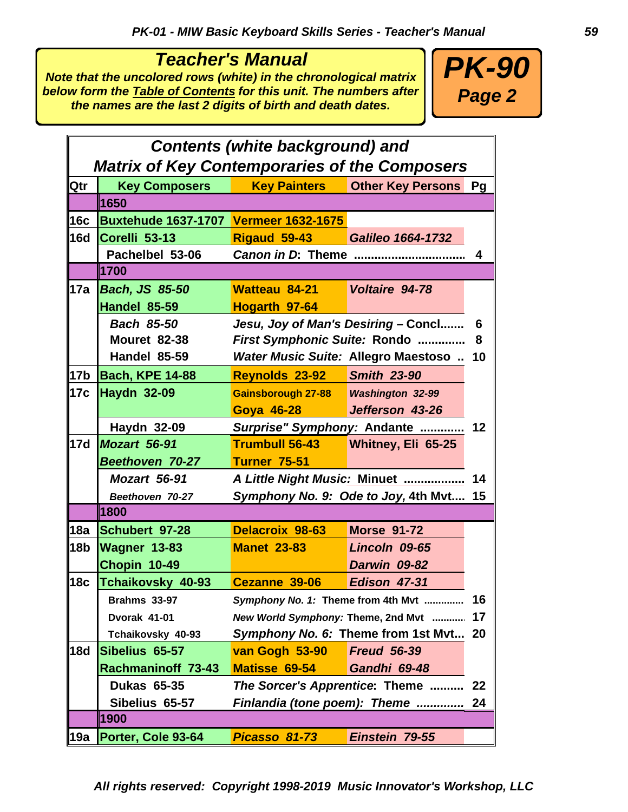### *Teacher's Manual*

*Note that the uncolored rows (white) in the chronological matrix below form the Table of Contents for this unit. The numbers after the names are the last 2 digits of birth and death dates.*



|                 | <b>Contents (white background) and</b>               |                                        |                                            |    |  |  |  |  |
|-----------------|------------------------------------------------------|----------------------------------------|--------------------------------------------|----|--|--|--|--|
|                 | <b>Matrix of Key Contemporaries of the Composers</b> |                                        |                                            |    |  |  |  |  |
| Qtr             | <b>Key Composers</b>                                 | <b>Key Painters</b>                    | <b>Other Key Persons Pg</b>                |    |  |  |  |  |
|                 | 1650                                                 |                                        |                                            |    |  |  |  |  |
| 16c             | <b>Buxtehude 1637-1707 Vermeer 1632-1675</b>         |                                        |                                            |    |  |  |  |  |
| <b>16d</b>      | Corelli 53-13                                        | Rigaud 59-43 Galileo 1664-1732         |                                            |    |  |  |  |  |
|                 | Pachelbel 53-06                                      | Canon in D: Theme                      |                                            | 4  |  |  |  |  |
|                 | 1700                                                 |                                        |                                            |    |  |  |  |  |
| 17a             | <b>Bach, JS 85-50</b>                                | Watteau 84-21                          | Voltaire 94-78                             |    |  |  |  |  |
|                 | Handel 85-59                                         | Hogarth 97-64                          |                                            |    |  |  |  |  |
|                 | <b>Bach 85-50</b>                                    |                                        | Jesu, Joy of Man's Desiring - Concl        | 6  |  |  |  |  |
|                 | <b>Mouret 82-38</b>                                  | First Symphonic Suite: Rondo           |                                            | 8  |  |  |  |  |
|                 | <b>Handel 85-59</b>                                  |                                        | <b>Water Music Suite: Allegro Maestoso</b> | 10 |  |  |  |  |
| 17 <sub>b</sub> | <b>Bach, KPE 14-88</b>                               | Reynolds 23-92 Smith 23-90             |                                            |    |  |  |  |  |
| 17c             | <b>Haydn 32-09</b>                                   |                                        |                                            |    |  |  |  |  |
|                 |                                                      | Goya 46-28 Jefferson 43-26             |                                            |    |  |  |  |  |
|                 | Haydn 32-09                                          | Surprise" Symphony: Andante            |                                            | 12 |  |  |  |  |
| 17d             | Mozart 56-91                                         | Trumbull 56-43 Whitney, Eli 65-25      |                                            |    |  |  |  |  |
|                 | <b>Beethoven 70-27</b>                               | <b>Turner 75-51</b>                    |                                            |    |  |  |  |  |
|                 | Mozart 56-91                                         | A Little Night Music: Minuet           |                                            | 14 |  |  |  |  |
|                 | Beethoven 70-27                                      | Symphony No. 9: Ode to Joy, 4th Mvt 15 |                                            |    |  |  |  |  |
|                 | 1800                                                 |                                        |                                            |    |  |  |  |  |
| 18a             | Schubert 97-28                                       | <b>Delacroix 98-63</b>                 | <b>Morse 91-72</b>                         |    |  |  |  |  |
| 18 <sub>b</sub> | <b>Wagner 13-83</b>                                  | <b>Manet 23-83</b>                     | Lincoln 09-65                              |    |  |  |  |  |
|                 | Chopin 10-49                                         |                                        | Darwin 09-82                               |    |  |  |  |  |
| 18c             | Tchaikovsky 40-93                                    | Cezanne 39-06                          | Edison 47-31                               |    |  |  |  |  |
|                 | <b>Brahms 33-97</b>                                  |                                        | Symphony No. 1: Theme from 4th Mvt         | 16 |  |  |  |  |
|                 | Dvorak 41-01                                         | New World Symphony: Theme, 2nd Mvt     |                                            | 17 |  |  |  |  |
|                 | Tchaikovsky 40-93                                    | Symphony No. 6: Theme from 1st Mvt     |                                            | 20 |  |  |  |  |
| <b>18d</b>      | Sibelius 65-57                                       | van Gogh 53-90                         | <b>Freud 56-39</b>                         |    |  |  |  |  |
|                 | <b>Rachmaninoff 73-43</b>                            | Matisse 69-54                          | Gandhi 69-48                               |    |  |  |  |  |
|                 | <b>Dukas 65-35</b>                                   | The Sorcer's Apprentice: Theme         |                                            | 22 |  |  |  |  |
|                 | Sibelius 65-57                                       | Finlandia (tone poem): Theme           |                                            | 24 |  |  |  |  |
|                 | 1900                                                 |                                        |                                            |    |  |  |  |  |
| 19a             | Porter, Cole 93-64                                   | Picasso 81-73                          | Einstein 79-55                             |    |  |  |  |  |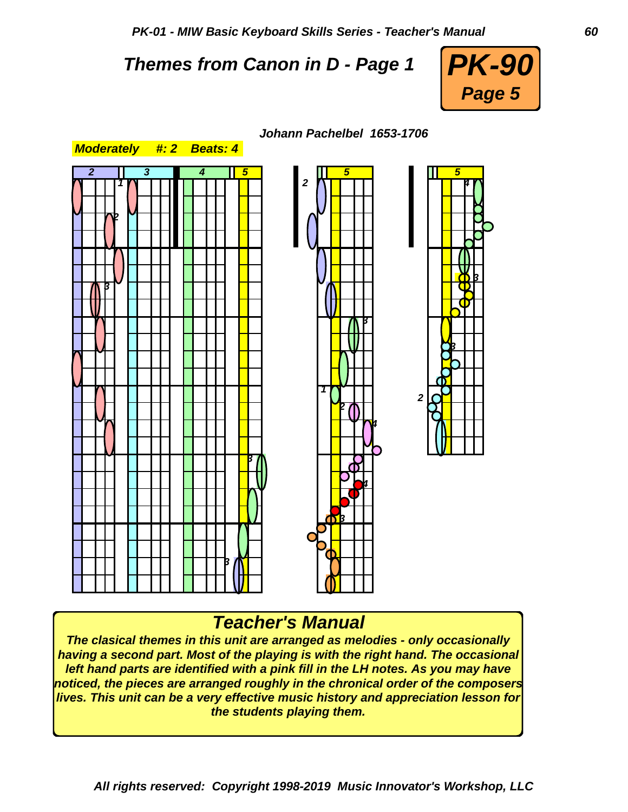*PK-01 - MIW Basic Keyboard Skills Series - Teacher's Manual 60*

# *Themes from Canon in D - Page 1*





#### *Johann Pachelbel 1653-1706*

# *Teacher's Manual*

*The clasical themes in this unit are arranged as melodies - only occasionally having a second part. Most of the playing is with the right hand. The occasional left hand parts are identified with a pink fill in the LH notes. As you may have noticed, the pieces are arranged roughly in the chronical order of the composers lives. This unit can be a very effective music history and appreciation lesson for the students playing them.*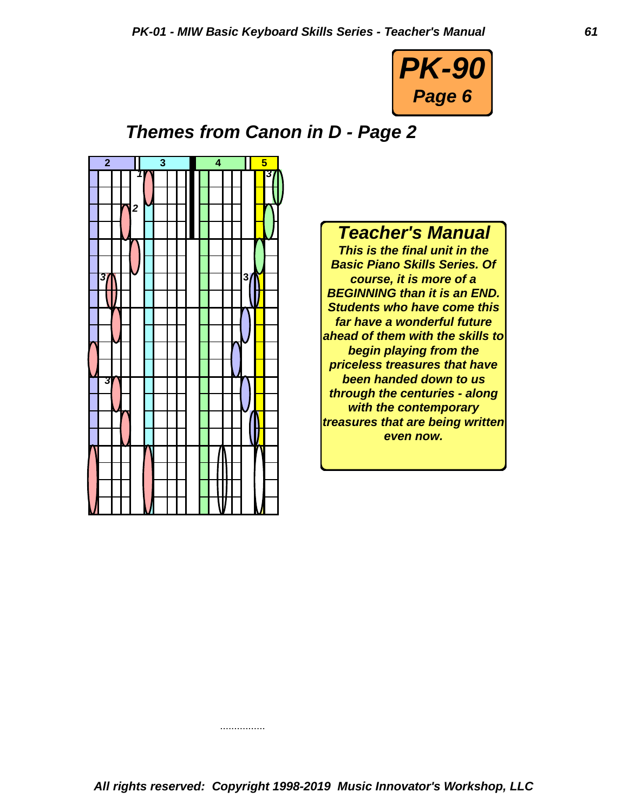

# *Themes from Canon in D - Page 2*



# *Teacher's Manual*

*This is the final unit in the Basic Piano Skills Series. Of course, it is more of a BEGINNING than it is an END. Students who have come this far have a wonderful future ahead of them with the skills to begin playing from the priceless treasures that have been handed down to us through the centuries - along with the contemporary treasures that are being written even now.*

................